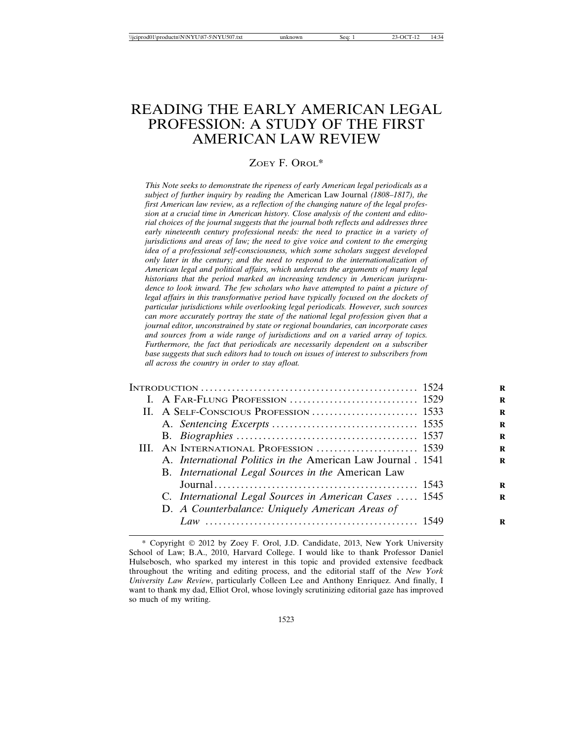# READING THE EARLY AMERICAN LEGAL PROFESSION: A STUDY OF THE FIRST AMERICAN LAW REVIEW

#### ZOEY F. OROL\*

*This Note seeks to demonstrate the ripeness of early American legal periodicals as a subject of further inquiry by reading the* American Law Journal *(1808–1817), the first American law review, as a reflection of the changing nature of the legal profession at a crucial time in American history. Close analysis of the content and editorial choices of the journal suggests that the journal both reflects and addresses three early nineteenth century professional needs: the need to practice in a variety of jurisdictions and areas of law; the need to give voice and content to the emerging idea of a professional self-consciousness, which some scholars suggest developed only later in the century; and the need to respond to the internationalization of American legal and political affairs, which undercuts the arguments of many legal historians that the period marked an increasing tendency in American jurisprudence to look inward. The few scholars who have attempted to paint a picture of legal affairs in this transformative period have typically focused on the dockets of particular jurisdictions while overlooking legal periodicals. However, such sources can more accurately portray the state of the national legal profession given that a journal editor, unconstrained by state or regional boundaries, can incorporate cases and sources from a wide range of jurisdictions and on a varied array of topics. Furthermore, the fact that periodicals are necessarily dependent on a subscriber base suggests that such editors had to touch on issues of interest to subscribers from all across the country in order to stay afloat.*

| III. AN INTERNATIONAL PROFESSION  1539                              |  |
|---------------------------------------------------------------------|--|
| A. <i>International Politics in the American Law Journal</i> . 1541 |  |
| B. International Legal Sources in the American Law                  |  |
|                                                                     |  |
| C. International Legal Sources in American Cases  1545              |  |
| D. A Counterbalance: Uniquely American Areas of                     |  |
|                                                                     |  |

<sup>\*</sup> Copyright 2012 by Zoey F. Orol, J.D. Candidate, 2013, New York University School of Law; B.A., 2010, Harvard College. I would like to thank Professor Daniel Hulsebosch, who sparked my interest in this topic and provided extensive feedback throughout the writing and editing process, and the editorial staff of the *New York University Law Review*, particularly Colleen Lee and Anthony Enriquez. And finally, I want to thank my dad, Elliot Orol, whose lovingly scrutinizing editorial gaze has improved so much of my writing.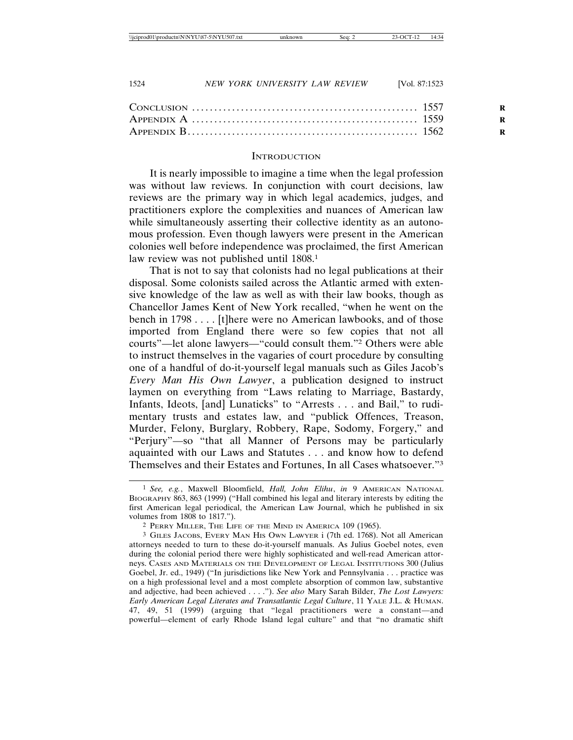#### **INTRODUCTION**

It is nearly impossible to imagine a time when the legal profession was without law reviews. In conjunction with court decisions, law reviews are the primary way in which legal academics, judges, and practitioners explore the complexities and nuances of American law while simultaneously asserting their collective identity as an autonomous profession. Even though lawyers were present in the American colonies well before independence was proclaimed, the first American law review was not published until 1808.<sup>1</sup>

That is not to say that colonists had no legal publications at their disposal. Some colonists sailed across the Atlantic armed with extensive knowledge of the law as well as with their law books, though as Chancellor James Kent of New York recalled, "when he went on the bench in 1798 . . . . [t]here were no American lawbooks, and of those imported from England there were so few copies that not all courts"—let alone lawyers—"could consult them."2 Others were able to instruct themselves in the vagaries of court procedure by consulting one of a handful of do-it-yourself legal manuals such as Giles Jacob's *Every Man His Own Lawyer*, a publication designed to instruct laymen on everything from "Laws relating to Marriage, Bastardy, Infants, Ideots, [and] Lunaticks" to "Arrests . . . and Bail," to rudimentary trusts and estates law, and "publick Offences, Treason, Murder, Felony, Burglary, Robbery, Rape, Sodomy, Forgery," and "Perjury"—so "that all Manner of Persons may be particularly aquainted with our Laws and Statutes . . . and know how to defend Themselves and their Estates and Fortunes, In all Cases whatsoever."3

<sup>1</sup> *See, e.g.*, Maxwell Bloomfield, *Hall, John Elihu*, *in* 9 AMERICAN NATIONAL BIOGRAPHY 863, 863 (1999) ("Hall combined his legal and literary interests by editing the first American legal periodical, the American Law Journal, which he published in six volumes from 1808 to 1817.").

<sup>2</sup> PERRY MILLER, THE LIFE OF THE MIND IN AMERICA 109 (1965).

<sup>3</sup> GILES JACOBS, EVERY MAN HIS OWN LAWYER i (7th ed. 1768). Not all American attorneys needed to turn to these do-it-yourself manuals. As Julius Goebel notes, even during the colonial period there were highly sophisticated and well-read American attorneys. CASES AND MATERIALS ON THE DEVELOPMENT OF LEGAL INSTITUTIONS 300 (Julius Goebel, Jr. ed., 1949) ("In jurisdictions like New York and Pennsylvania . . . practice was on a high professional level and a most complete absorption of common law, substantive and adjective, had been achieved . . . ."). *See also* Mary Sarah Bilder, *The Lost Lawyers: Early American Legal Literates and Transatlantic Legal Culture*, 11 YALE J.L. & HUMAN. 47, 49, 51 (1999) (arguing that "legal practitioners were a constant—and powerful—element of early Rhode Island legal culture" and that "no dramatic shift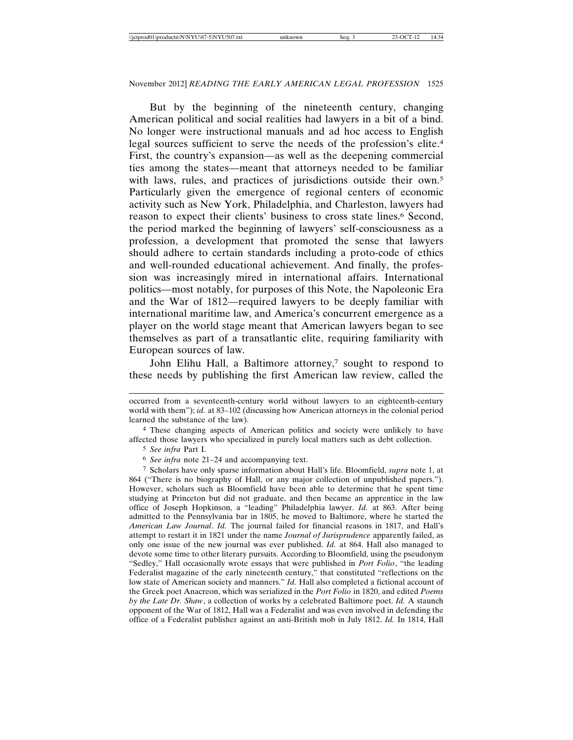But by the beginning of the nineteenth century, changing American political and social realities had lawyers in a bit of a bind. No longer were instructional manuals and ad hoc access to English legal sources sufficient to serve the needs of the profession's elite.4 First, the country's expansion—as well as the deepening commercial ties among the states—meant that attorneys needed to be familiar with laws, rules, and practices of jurisdictions outside their own.<sup>5</sup> Particularly given the emergence of regional centers of economic activity such as New York, Philadelphia, and Charleston, lawyers had reason to expect their clients' business to cross state lines.<sup>6</sup> Second, the period marked the beginning of lawyers' self-consciousness as a profession, a development that promoted the sense that lawyers should adhere to certain standards including a proto-code of ethics and well-rounded educational achievement. And finally, the profession was increasingly mired in international affairs. International politics—most notably, for purposes of this Note, the Napoleonic Era and the War of 1812—required lawyers to be deeply familiar with international maritime law, and America's concurrent emergence as a player on the world stage meant that American lawyers began to see themselves as part of a transatlantic elite, requiring familiarity with European sources of law.

John Elihu Hall, a Baltimore attorney,<sup>7</sup> sought to respond to these needs by publishing the first American law review, called the

4 These changing aspects of American politics and society were unlikely to have affected those lawyers who specialized in purely local matters such as debt collection.

5 *See infra* Part I.

6 *See infra* note 21–24 and accompanying text.

7 Scholars have only sparse information about Hall's life. Bloomfield, *supra* note 1, at 864 ("There is no biography of Hall, or any major collection of unpublished papers."). However, scholars such as Bloomfield have been able to determine that he spent time studying at Princeton but did not graduate, and then became an apprentice in the law office of Joseph Hopkinson, a "leading" Philadelphia lawyer. *Id.* at 863. After being admitted to the Pennsylvania bar in 1805, he moved to Baltimore, where he started the *American Law Journal*. *Id.* The journal failed for financial reasons in 1817, and Hall's attempt to restart it in 1821 under the name *Journal of Jurisprudence* apparently failed, as only one issue of the new journal was ever published. *Id.* at 864. Hall also managed to devote some time to other literary pursuits. According to Bloomfield, using the pseudonym "Sedley," Hall occasionally wrote essays that were published in *Port Folio*, "the leading Federalist magazine of the early nineteenth century," that constituted "reflections on the low state of American society and manners." *Id.* Hall also completed a fictional account of the Greek poet Anacreon, which was serialized in the *Port Folio* in 1820, and edited *Poems by the Late Dr. Shaw*, a collection of works by a celebrated Baltimore poet. *Id.* A staunch opponent of the War of 1812, Hall was a Federalist and was even involved in defending the office of a Federalist publisher against an anti-British mob in July 1812. *Id.* In 1814, Hall

occurred from a seventeenth-century world without lawyers to an eighteenth-century world with them"); *id.* at 83-102 (discussing how American attorneys in the colonial period learned the substance of the law).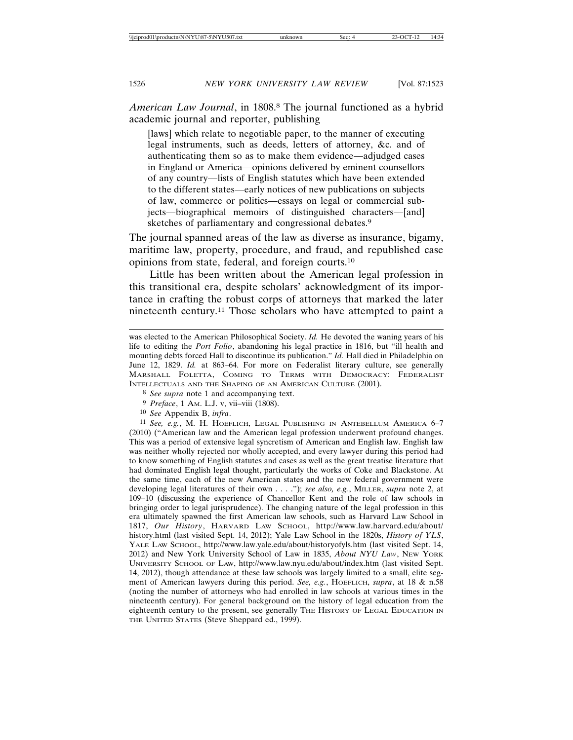*American Law Journal*, in 1808.8 The journal functioned as a hybrid academic journal and reporter, publishing

[laws] which relate to negotiable paper, to the manner of executing legal instruments, such as deeds, letters of attorney, &c. and of authenticating them so as to make them evidence—adjudged cases in England or America—opinions delivered by eminent counsellors of any country—lists of English statutes which have been extended to the different states—early notices of new publications on subjects of law, commerce or politics—essays on legal or commercial subjects—biographical memoirs of distinguished characters—[and] sketches of parliamentary and congressional debates.<sup>9</sup>

The journal spanned areas of the law as diverse as insurance, bigamy, maritime law, property, procedure, and fraud, and republished case opinions from state, federal, and foreign courts.10

Little has been written about the American legal profession in this transitional era, despite scholars' acknowledgment of its importance in crafting the robust corps of attorneys that marked the later nineteenth century.11 Those scholars who have attempted to paint a

11 *See, e.g.*, M. H. HOEFLICH, LEGAL PUBLISHING IN ANTEBELLUM AMERICA 6–7 (2010) ("American law and the American legal profession underwent profound changes. This was a period of extensive legal syncretism of American and English law. English law was neither wholly rejected nor wholly accepted, and every lawyer during this period had to know something of English statutes and cases as well as the great treatise literature that had dominated English legal thought, particularly the works of Coke and Blackstone. At the same time, each of the new American states and the new federal government were developing legal literatures of their own . . . ."); *see also, e.g.*, MILLER, *supra* note 2, at 109–10 (discussing the experience of Chancellor Kent and the role of law schools in bringing order to legal jurisprudence). The changing nature of the legal profession in this era ultimately spawned the first American law schools, such as Harvard Law School in 1817, *Our History*, HARVARD LAW SCHOOL, http://www.law.harvard.edu/about/ history.html (last visited Sept. 14, 2012); Yale Law School in the 1820s, *History of YLS*, YALE LAW SCHOOL, http://www.law.yale.edu/about/historyofyls.htm (last visited Sept. 14, 2012) and New York University School of Law in 1835, *About NYU Law*, NEW YORK UNIVERSITY SCHOOL OF LAW, http://www.law.nyu.edu/about/index.htm (last visited Sept. 14, 2012), though attendance at these law schools was largely limited to a small, elite segment of American lawyers during this period. *See, e.g.*, HOEFLICH, *supra*, at 18 & n.58 (noting the number of attorneys who had enrolled in law schools at various times in the nineteenth century). For general background on the history of legal education from the eighteenth century to the present, see generally THE HISTORY OF LEGAL EDUCATION IN THE UNITED STATES (Steve Sheppard ed., 1999).

was elected to the American Philosophical Society. *Id.* He devoted the waning years of his life to editing the *Port Folio*, abandoning his legal practice in 1816, but "ill health and mounting debts forced Hall to discontinue its publication." *Id.* Hall died in Philadelphia on June 12, 1829. *Id.* at 863–64. For more on Federalist literary culture, see generally MARSHALL FOLETTA, COMING TO TERMS WITH DEMOCRACY: FEDERALIST INTELLECTUALS AND THE SHAPING OF AN AMERICAN CULTURE (2001).

<sup>8</sup> *See supra* note 1 and accompanying text.

<sup>9</sup> *Preface*, 1 AM. L.J. v, vii–viii (1808).

<sup>10</sup> *See* Appendix B, *infra*.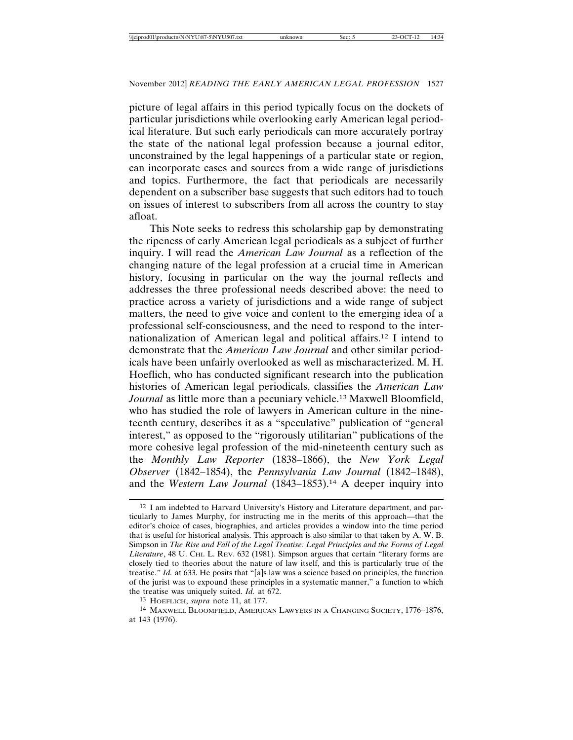picture of legal affairs in this period typically focus on the dockets of particular jurisdictions while overlooking early American legal periodical literature. But such early periodicals can more accurately portray the state of the national legal profession because a journal editor, unconstrained by the legal happenings of a particular state or region, can incorporate cases and sources from a wide range of jurisdictions and topics. Furthermore, the fact that periodicals are necessarily dependent on a subscriber base suggests that such editors had to touch on issues of interest to subscribers from all across the country to stay afloat.

This Note seeks to redress this scholarship gap by demonstrating the ripeness of early American legal periodicals as a subject of further inquiry. I will read the *American Law Journal* as a reflection of the changing nature of the legal profession at a crucial time in American history, focusing in particular on the way the journal reflects and addresses the three professional needs described above: the need to practice across a variety of jurisdictions and a wide range of subject matters, the need to give voice and content to the emerging idea of a professional self-consciousness, and the need to respond to the internationalization of American legal and political affairs.12 I intend to demonstrate that the *American Law Journal* and other similar periodicals have been unfairly overlooked as well as mischaracterized. M. H. Hoeflich, who has conducted significant research into the publication histories of American legal periodicals, classifies the *American Law Journal* as little more than a pecuniary vehicle.13 Maxwell Bloomfield, who has studied the role of lawyers in American culture in the nineteenth century, describes it as a "speculative" publication of "general interest," as opposed to the "rigorously utilitarian" publications of the more cohesive legal profession of the mid-nineteenth century such as the *Monthly Law Reporter* (1838–1866), the *New York Legal Observer* (1842–1854), the *Pennsylvania Law Journal* (1842–1848), and the *Western Law Journal* (1843–1853).<sup>14</sup> A deeper inquiry into

<sup>12</sup> I am indebted to Harvard University's History and Literature department, and particularly to James Murphy, for instructing me in the merits of this approach—that the editor's choice of cases, biographies, and articles provides a window into the time period that is useful for historical analysis. This approach is also similar to that taken by A. W. B. Simpson in *The Rise and Fall of the Legal Treatise: Legal Principles and the Forms of Legal Literature*, 48 U. CHI. L. REV. 632 (1981). Simpson argues that certain "literary forms are closely tied to theories about the nature of law itself, and this is particularly true of the treatise." *Id.* at 633. He posits that "[a]s law was a science based on principles, the function of the jurist was to expound these principles in a systematic manner," a function to which the treatise was uniquely suited. *Id.* at 672.

<sup>13</sup> HOEFLICH, *supra* note 11, at 177.

<sup>14</sup> MAXWELL BLOOMFIELD, AMERICAN LAWYERS IN A CHANGING SOCIETY, 1776–1876, at 143 (1976).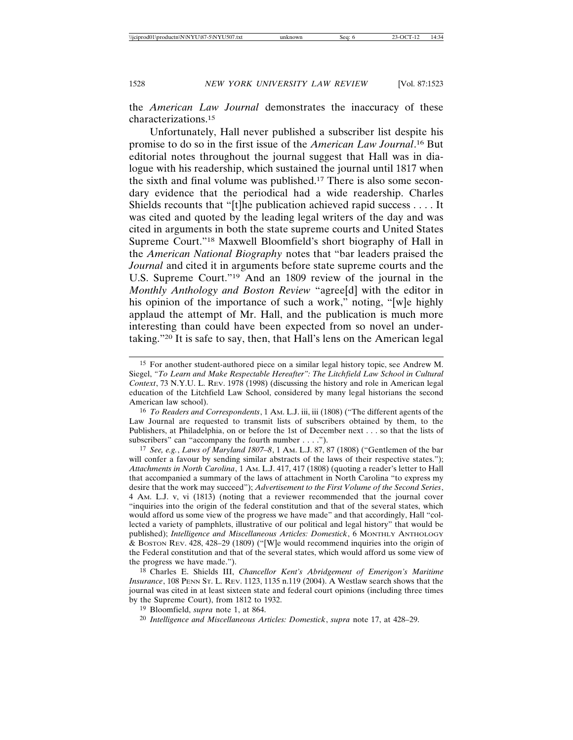the *American Law Journal* demonstrates the inaccuracy of these characterizations.15

Unfortunately, Hall never published a subscriber list despite his promise to do so in the first issue of the *American Law Journal*. 16 But editorial notes throughout the journal suggest that Hall was in dialogue with his readership, which sustained the journal until 1817 when the sixth and final volume was published.17 There is also some secondary evidence that the periodical had a wide readership. Charles Shields recounts that "[t]he publication achieved rapid success . . . . It was cited and quoted by the leading legal writers of the day and was cited in arguments in both the state supreme courts and United States Supreme Court."18 Maxwell Bloomfield's short biography of Hall in the *American National Biography* notes that "bar leaders praised the *Journal* and cited it in arguments before state supreme courts and the U.S. Supreme Court."19 And an 1809 review of the journal in the *Monthly Anthology and Boston Review* "agree[d] with the editor in his opinion of the importance of such a work," noting, "[w]e highly applaud the attempt of Mr. Hall, and the publication is much more interesting than could have been expected from so novel an undertaking."20 It is safe to say, then, that Hall's lens on the American legal

16 *To Readers and Correspondents*, 1 AM. L.J. iii, iii (1808) ("The different agents of the Law Journal are requested to transmit lists of subscribers obtained by them, to the Publishers, at Philadelphia, on or before the 1st of December next . . . so that the lists of subscribers" can "accompany the fourth number . . . .").

17 *See, e.g.*, *Laws of Maryland 1807–8*, 1 AM. L.J. 87, 87 (1808) ("Gentlemen of the bar will confer a favour by sending similar abstracts of the laws of their respective states."); *Attachments in North Carolina*, 1 AM. L.J. 417, 417 (1808) (quoting a reader's letter to Hall that accompanied a summary of the laws of attachment in North Carolina "to express my desire that the work may succeed"); *Advertisement to the First Volume of the Second Series*, 4 AM. L.J. v, vi (1813) (noting that a reviewer recommended that the journal cover "inquiries into the origin of the federal constitution and that of the several states, which would afford us some view of the progress we have made" and that accordingly, Hall "collected a variety of pamphlets, illustrative of our political and legal history" that would be published); *Intelligence and Miscellaneous Articles: Domestick*, 6 MONTHLY ANTHOLOGY & BOSTON REV. 428, 428–29 (1809) ("[W]e would recommend inquiries into the origin of the Federal constitution and that of the several states, which would afford us some view of the progress we have made.").

18 Charles E. Shields III, *Chancellor Kent's Abridgement of Emerigon's Maritime Insurance*, 108 PENN ST. L. REV. 1123, 1135 n.119 (2004). A Westlaw search shows that the journal was cited in at least sixteen state and federal court opinions (including three times by the Supreme Court), from 1812 to 1932.

19 Bloomfield, *supra* note 1, at 864.

20 *Intelligence and Miscellaneous Articles: Domestick*, *supra* note 17, at 428–29.

<sup>15</sup> For another student-authored piece on a similar legal history topic, see Andrew M. Siegel, *"To Learn and Make Respectable Hereafter": The Litchfield Law School in Cultural Context*, 73 N.Y.U. L. REV. 1978 (1998) (discussing the history and role in American legal education of the Litchfield Law School, considered by many legal historians the second American law school).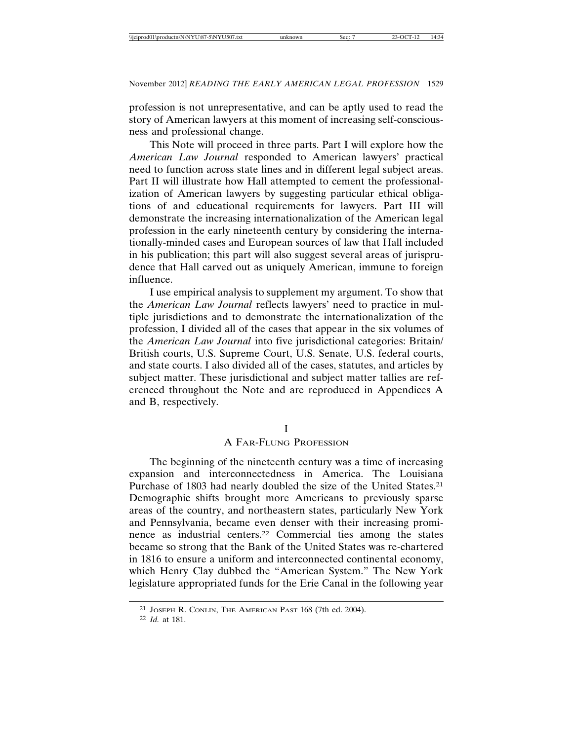profession is not unrepresentative, and can be aptly used to read the story of American lawyers at this moment of increasing self-consciousness and professional change.

This Note will proceed in three parts. Part I will explore how the *American Law Journal* responded to American lawyers' practical need to function across state lines and in different legal subject areas. Part II will illustrate how Hall attempted to cement the professionalization of American lawyers by suggesting particular ethical obligations of and educational requirements for lawyers. Part III will demonstrate the increasing internationalization of the American legal profession in the early nineteenth century by considering the internationally-minded cases and European sources of law that Hall included in his publication; this part will also suggest several areas of jurisprudence that Hall carved out as uniquely American, immune to foreign influence.

I use empirical analysis to supplement my argument. To show that the *American Law Journal* reflects lawyers' need to practice in multiple jurisdictions and to demonstrate the internationalization of the profession, I divided all of the cases that appear in the six volumes of the *American Law Journal* into five jurisdictional categories: Britain/ British courts, U.S. Supreme Court, U.S. Senate, U.S. federal courts, and state courts. I also divided all of the cases, statutes, and articles by subject matter. These jurisdictional and subject matter tallies are referenced throughout the Note and are reproduced in Appendices A and B, respectively.

#### I

### A FAR-FLUNG PROFESSION

The beginning of the nineteenth century was a time of increasing expansion and interconnectedness in America. The Louisiana Purchase of 1803 had nearly doubled the size of the United States.21 Demographic shifts brought more Americans to previously sparse areas of the country, and northeastern states, particularly New York and Pennsylvania, became even denser with their increasing prominence as industrial centers.22 Commercial ties among the states became so strong that the Bank of the United States was re-chartered in 1816 to ensure a uniform and interconnected continental economy, which Henry Clay dubbed the "American System." The New York legislature appropriated funds for the Erie Canal in the following year

<sup>21</sup> JOSEPH R. CONLIN, THE AMERICAN PAST 168 (7th ed. 2004).

<sup>22</sup> *Id.* at 181.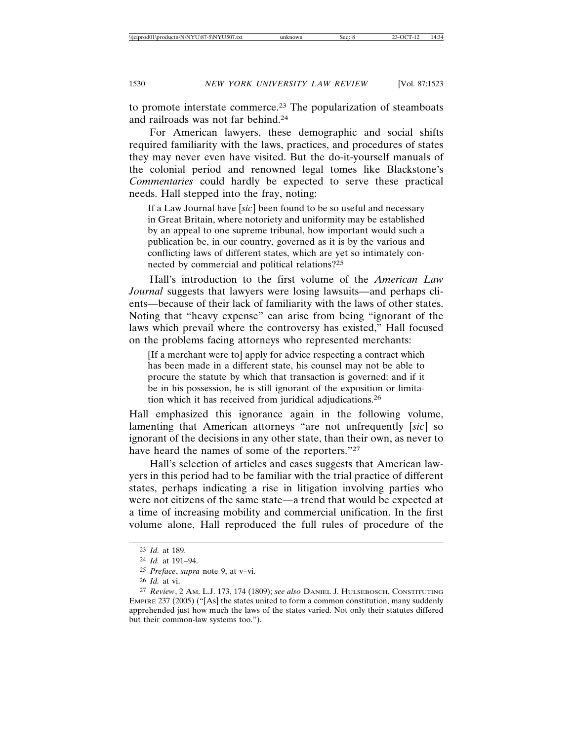to promote interstate commerce.23 The popularization of steamboats and railroads was not far behind.24

For American lawyers, these demographic and social shifts required familiarity with the laws, practices, and procedures of states they may never even have visited. But the do-it-yourself manuals of the colonial period and renowned legal tomes like Blackstone's *Commentaries* could hardly be expected to serve these practical needs. Hall stepped into the fray, noting:

If a Law Journal have [*sic*] been found to be so useful and necessary in Great Britain, where notoriety and uniformity may be established by an appeal to one supreme tribunal, how important would such a publication be, in our country, governed as it is by the various and conflicting laws of different states, which are yet so intimately connected by commercial and political relations?25

Hall's introduction to the first volume of the *American Law Journal* suggests that lawyers were losing lawsuits—and perhaps clients—because of their lack of familiarity with the laws of other states. Noting that "heavy expense" can arise from being "ignorant of the laws which prevail where the controversy has existed," Hall focused on the problems facing attorneys who represented merchants:

[If a merchant were to] apply for advice respecting a contract which has been made in a different state, his counsel may not be able to procure the statute by which that transaction is governed: and if it be in his possession, he is still ignorant of the exposition or limitation which it has received from juridical adjudications.26

Hall emphasized this ignorance again in the following volume, lamenting that American attorneys "are not unfrequently [*sic*] so ignorant of the decisions in any other state, than their own, as never to have heard the names of some of the reporters."27

Hall's selection of articles and cases suggests that American lawyers in this period had to be familiar with the trial practice of different states, perhaps indicating a rise in litigation involving parties who were not citizens of the same state—a trend that would be expected at a time of increasing mobility and commercial unification. In the first volume alone, Hall reproduced the full rules of procedure of the

<sup>23</sup> *Id.* at 189.

<sup>24</sup> *Id.* at 191–94.

<sup>25</sup> *Preface*, *supra* note 9, at v–vi.

<sup>26</sup> *Id.* at vi.

<sup>27</sup> *Review*, 2 AM. L.J. 173, 174 (1809); *see also* DANIEL J. HULSEBOSCH, CONSTITUTING EMPIRE 237 (2005) ("[As] the states united to form a common constitution, many suddenly apprehended just how much the laws of the states varied. Not only their statutes differed but their common-law systems too.").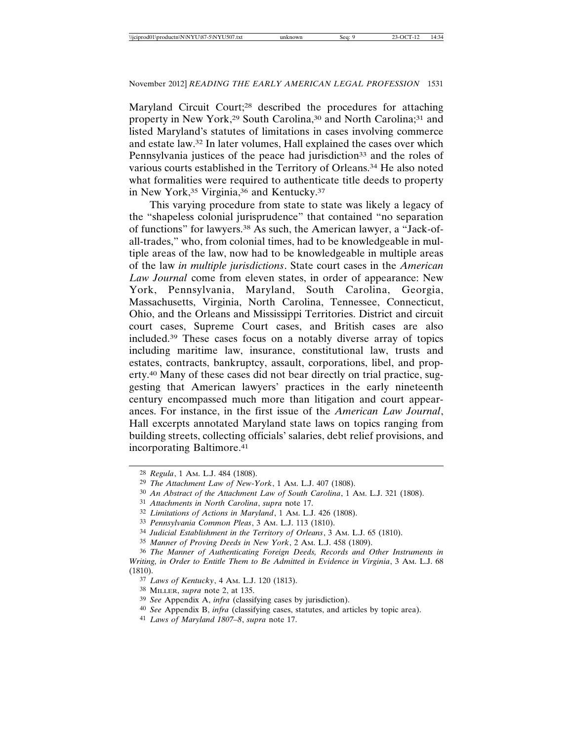Maryland Circuit Court;28 described the procedures for attaching property in New York,<sup>29</sup> South Carolina,<sup>30</sup> and North Carolina;<sup>31</sup> and listed Maryland's statutes of limitations in cases involving commerce and estate law.32 In later volumes, Hall explained the cases over which Pennsylvania justices of the peace had jurisdiction<sup>33</sup> and the roles of various courts established in the Territory of Orleans.34 He also noted what formalities were required to authenticate title deeds to property in New York,<sup>35</sup> Virginia,<sup>36</sup> and Kentucky.<sup>37</sup>

This varying procedure from state to state was likely a legacy of the "shapeless colonial jurisprudence" that contained "no separation of functions" for lawyers.38 As such, the American lawyer, a "Jack-ofall-trades," who, from colonial times, had to be knowledgeable in multiple areas of the law, now had to be knowledgeable in multiple areas of the law *in multiple jurisdictions*. State court cases in the *American Law Journal* come from eleven states, in order of appearance: New York, Pennsylvania, Maryland, South Carolina, Georgia, Massachusetts, Virginia, North Carolina, Tennessee, Connecticut, Ohio, and the Orleans and Mississippi Territories. District and circuit court cases, Supreme Court cases, and British cases are also included.39 These cases focus on a notably diverse array of topics including maritime law, insurance, constitutional law, trusts and estates, contracts, bankruptcy, assault, corporations, libel, and property.40 Many of these cases did not bear directly on trial practice, suggesting that American lawyers' practices in the early nineteenth century encompassed much more than litigation and court appearances. For instance, in the first issue of the *American Law Journal*, Hall excerpts annotated Maryland state laws on topics ranging from building streets, collecting officials' salaries, debt relief provisions, and incorporating Baltimore.41

<sup>28</sup> *Regula*, 1 AM. L.J. 484 (1808).

<sup>29</sup> *The Attachment Law of New-York*, 1 AM. L.J. 407 (1808).

<sup>30</sup> *An Abstract of the Attachment Law of South Carolina*, 1 AM. L.J. 321 (1808).

<sup>31</sup> *Attachments in North Carolina*, *supra* note 17.

<sup>32</sup> *Limitations of Actions in Maryland*, 1 AM. L.J. 426 (1808).

<sup>33</sup> *Pennsylvania Common Pleas*, 3 AM. L.J. 113 (1810).

<sup>34</sup> *Judicial Establishment in the Territory of Orleans*, 3 AM. L.J. 65 (1810).

<sup>35</sup> *Manner of Proving Deeds in New York*, 2 AM. L.J. 458 (1809).

<sup>36</sup> *The Manner of Authenticating Foreign Deeds, Records and Other Instruments in Writing, in Order to Entitle Them to Be Admitted in Evidence in Virginia*, 3 AM. L.J. 68 (1810).

<sup>37</sup> *Laws of Kentucky*, 4 AM. L.J. 120 (1813).

<sup>38</sup> MILLER, *supra* note 2, at 135.

<sup>39</sup> *See* Appendix A, *infra* (classifying cases by jurisdiction).

<sup>40</sup> *See* Appendix B, *infra* (classifying cases, statutes, and articles by topic area).

<sup>41</sup> *Laws of Maryland 1807–8*, *supra* note 17.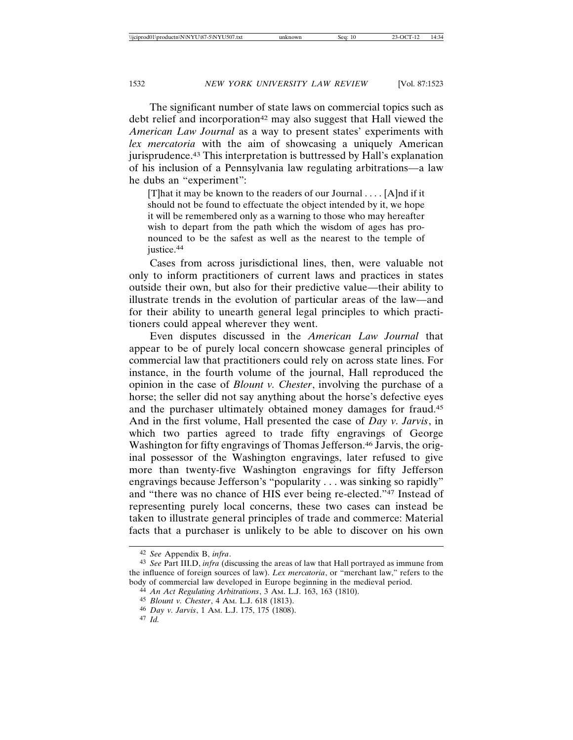The significant number of state laws on commercial topics such as debt relief and incorporation<sup>42</sup> may also suggest that Hall viewed the *American Law Journal* as a way to present states' experiments with *lex mercatoria* with the aim of showcasing a uniquely American jurisprudence.43 This interpretation is buttressed by Hall's explanation of his inclusion of a Pennsylvania law regulating arbitrations—a law he dubs an "experiment":

[T]hat it may be known to the readers of our Journal . . . . [A]nd if it should not be found to effectuate the object intended by it, we hope it will be remembered only as a warning to those who may hereafter wish to depart from the path which the wisdom of ages has pronounced to be the safest as well as the nearest to the temple of justice.<sup>44</sup>

Cases from across jurisdictional lines, then, were valuable not only to inform practitioners of current laws and practices in states outside their own, but also for their predictive value—their ability to illustrate trends in the evolution of particular areas of the law—and for their ability to unearth general legal principles to which practitioners could appeal wherever they went.

Even disputes discussed in the *American Law Journal* that appear to be of purely local concern showcase general principles of commercial law that practitioners could rely on across state lines. For instance, in the fourth volume of the journal, Hall reproduced the opinion in the case of *Blount v. Chester*, involving the purchase of a horse; the seller did not say anything about the horse's defective eyes and the purchaser ultimately obtained money damages for fraud.45 And in the first volume, Hall presented the case of *Day v. Jarvis*, in which two parties agreed to trade fifty engravings of George Washington for fifty engravings of Thomas Jefferson.<sup>46</sup> Jarvis, the original possessor of the Washington engravings, later refused to give more than twenty-five Washington engravings for fifty Jefferson engravings because Jefferson's "popularity . . . was sinking so rapidly" and "there was no chance of HIS ever being re-elected."47 Instead of representing purely local concerns, these two cases can instead be taken to illustrate general principles of trade and commerce: Material facts that a purchaser is unlikely to be able to discover on his own

<sup>42</sup> *See* Appendix B, *infra*.

<sup>43</sup> *See* Part III.D, *infra* (discussing the areas of law that Hall portrayed as immune from the influence of foreign sources of law). *Lex mercatoria*, or "merchant law," refers to the body of commercial law developed in Europe beginning in the medieval period.

<sup>44</sup> *An Act Regulating Arbitrations*, 3 AM. L.J. 163, 163 (1810).

<sup>45</sup> *Blount v. Chester*, 4 AM. L.J. 618 (1813).

<sup>46</sup> *Day v. Jarvis*, 1 AM. L.J. 175, 175 (1808).

<sup>47</sup> *Id.*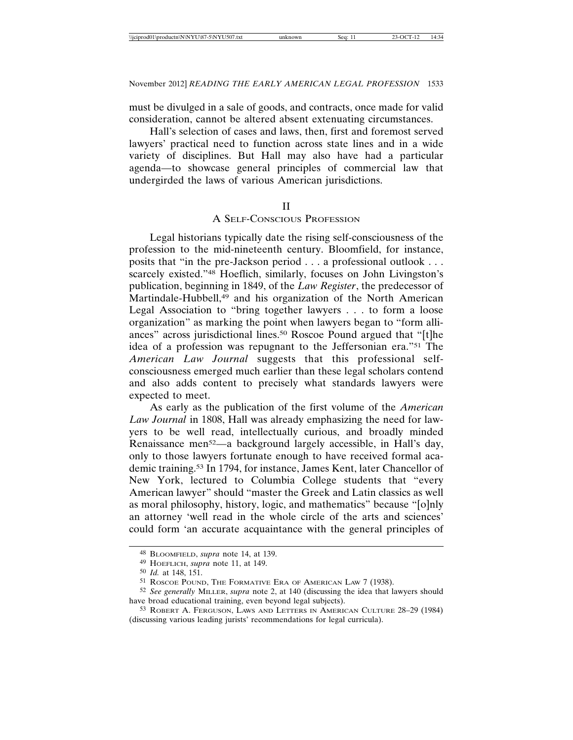must be divulged in a sale of goods, and contracts, once made for valid consideration, cannot be altered absent extenuating circumstances.

Hall's selection of cases and laws, then, first and foremost served lawyers' practical need to function across state lines and in a wide variety of disciplines. But Hall may also have had a particular agenda—to showcase general principles of commercial law that undergirded the laws of various American jurisdictions.

#### II

### A SELF-CONSCIOUS PROFESSION

Legal historians typically date the rising self-consciousness of the profession to the mid-nineteenth century. Bloomfield, for instance, posits that "in the pre-Jackson period . . . a professional outlook . . . scarcely existed."<sup>48</sup> Hoeflich, similarly, focuses on John Livingston's publication, beginning in 1849, of the *Law Register*, the predecessor of Martindale-Hubbell,<sup>49</sup> and his organization of the North American Legal Association to "bring together lawyers . . . to form a loose organization" as marking the point when lawyers began to "form alliances" across jurisdictional lines.50 Roscoe Pound argued that "[t]he idea of a profession was repugnant to the Jeffersonian era."51 The *American Law Journal* suggests that this professional selfconsciousness emerged much earlier than these legal scholars contend and also adds content to precisely what standards lawyers were expected to meet.

As early as the publication of the first volume of the *American Law Journal* in 1808, Hall was already emphasizing the need for lawyers to be well read, intellectually curious, and broadly minded Renaissance men52—a background largely accessible, in Hall's day, only to those lawyers fortunate enough to have received formal academic training.53 In 1794, for instance, James Kent, later Chancellor of New York, lectured to Columbia College students that "every American lawyer" should "master the Greek and Latin classics as well as moral philosophy, history, logic, and mathematics" because "[o]nly an attorney 'well read in the whole circle of the arts and sciences' could form 'an accurate acquaintance with the general principles of

<sup>48</sup> BLOOMFIELD, *supra* note 14, at 139.

<sup>49</sup> HOEFLICH, *supra* note 11, at 149.

<sup>50</sup> *Id.* at 148, 151.

<sup>51</sup> ROSCOE POUND, THE FORMATIVE ERA OF AMERICAN LAW 7 (1938).

<sup>52</sup> *See generally* MILLER, *supra* note 2, at 140 (discussing the idea that lawyers should have broad educational training, even beyond legal subjects).

<sup>53</sup> ROBERT A. FERGUSON, LAWS AND LETTERS IN AMERICAN CULTURE 28–29 (1984) (discussing various leading jurists' recommendations for legal curricula).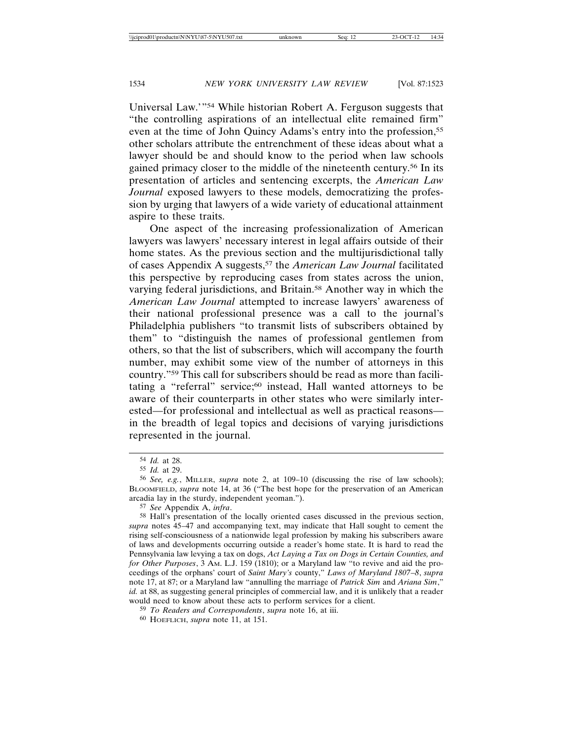Universal Law.'"54 While historian Robert A. Ferguson suggests that "the controlling aspirations of an intellectual elite remained firm" even at the time of John Quincy Adams's entry into the profession,<sup>55</sup> other scholars attribute the entrenchment of these ideas about what a lawyer should be and should know to the period when law schools gained primacy closer to the middle of the nineteenth century.56 In its presentation of articles and sentencing excerpts, the *American Law Journal* exposed lawyers to these models, democratizing the profession by urging that lawyers of a wide variety of educational attainment aspire to these traits.

One aspect of the increasing professionalization of American lawyers was lawyers' necessary interest in legal affairs outside of their home states. As the previous section and the multijurisdictional tally of cases Appendix A suggests,57 the *American Law Journal* facilitated this perspective by reproducing cases from states across the union, varying federal jurisdictions, and Britain.58 Another way in which the *American Law Journal* attempted to increase lawyers' awareness of their national professional presence was a call to the journal's Philadelphia publishers "to transmit lists of subscribers obtained by them" to "distinguish the names of professional gentlemen from others, so that the list of subscribers, which will accompany the fourth number, may exhibit some view of the number of attorneys in this country."59 This call for subscribers should be read as more than facilitating a "referral" service;<sup>60</sup> instead, Hall wanted attorneys to be aware of their counterparts in other states who were similarly interested—for professional and intellectual as well as practical reasons in the breadth of legal topics and decisions of varying jurisdictions represented in the journal.

57 *See* Appendix A, *infra*.

<sup>54</sup> *Id.* at 28.

<sup>55</sup> *Id.* at 29.

<sup>56</sup> *See, e.g.*, MILLER, *supra* note 2, at 109–10 (discussing the rise of law schools); BLOOMFIELD, *supra* note 14, at 36 ("The best hope for the preservation of an American arcadia lay in the sturdy, independent yeoman.").

<sup>58</sup> Hall's presentation of the locally oriented cases discussed in the previous section, *supra* notes 45–47 and accompanying text, may indicate that Hall sought to cement the rising self-consciousness of a nationwide legal profession by making his subscribers aware of laws and developments occurring outside a reader's home state. It is hard to read the Pennsylvania law levying a tax on dogs, *Act Laying a Tax on Dogs in Certain Counties, and for Other Purposes*, 3 AM. L.J. 159 (1810); or a Maryland law "to revive and aid the proceedings of the orphans' court of *Saint Mary's* county," *Laws of Maryland 1807*–*8*, *supra* note 17, at 87; or a Maryland law "annulling the marriage of *Patrick Sim* and *Ariana Sim*," *id.* at 88, as suggesting general principles of commercial law, and it is unlikely that a reader would need to know about these acts to perform services for a client.

<sup>59</sup> *To Readers and Correspondents*, *supra* note 16, at iii.

<sup>60</sup> HOEFLICH, *supra* note 11, at 151.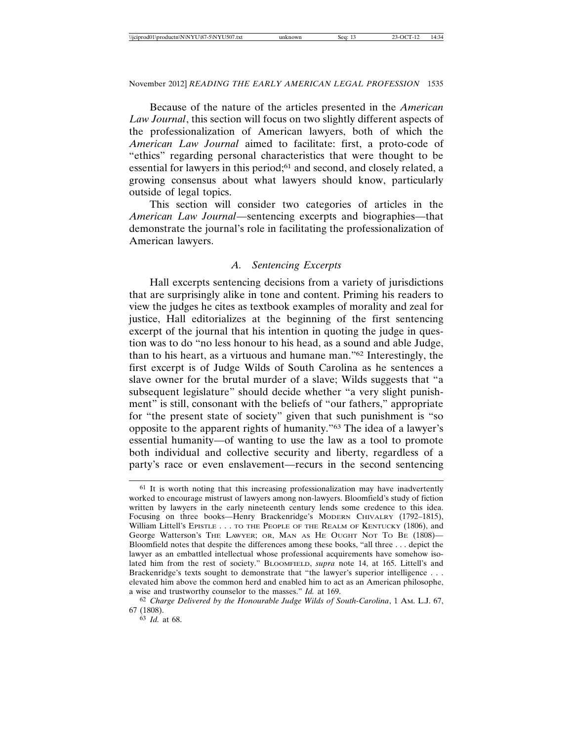Because of the nature of the articles presented in the *American Law Journal*, this section will focus on two slightly different aspects of the professionalization of American lawyers, both of which the *American Law Journal* aimed to facilitate: first, a proto-code of "ethics" regarding personal characteristics that were thought to be essential for lawyers in this period;61 and second, and closely related, a growing consensus about what lawyers should know, particularly outside of legal topics.

This section will consider two categories of articles in the *American Law Journal*—sentencing excerpts and biographies—that demonstrate the journal's role in facilitating the professionalization of American lawyers.

### *A. Sentencing Excerpts*

Hall excerpts sentencing decisions from a variety of jurisdictions that are surprisingly alike in tone and content. Priming his readers to view the judges he cites as textbook examples of morality and zeal for justice, Hall editorializes at the beginning of the first sentencing excerpt of the journal that his intention in quoting the judge in question was to do "no less honour to his head, as a sound and able Judge, than to his heart, as a virtuous and humane man."62 Interestingly, the first excerpt is of Judge Wilds of South Carolina as he sentences a slave owner for the brutal murder of a slave; Wilds suggests that "a subsequent legislature" should decide whether "a very slight punishment" is still, consonant with the beliefs of "our fathers," appropriate for "the present state of society" given that such punishment is "so opposite to the apparent rights of humanity."63 The idea of a lawyer's essential humanity—of wanting to use the law as a tool to promote both individual and collective security and liberty, regardless of a party's race or even enslavement—recurs in the second sentencing

<sup>&</sup>lt;sup>61</sup> It is worth noting that this increasing professionalization may have inadvertently worked to encourage mistrust of lawyers among non-lawyers. Bloomfield's study of fiction written by lawyers in the early nineteenth century lends some credence to this idea. Focusing on three books—Henry Brackenridge's MODERN CHIVALRY (1792-1815), William Littell's EPISTLE . . . TO THE PEOPLE OF THE REALM OF KENTUCKY (1806), and George Watterson's THE LAWYER; OR, MAN AS HE OUGHT NOT TO BE (1808)— Bloomfield notes that despite the differences among these books, "all three . . . depict the lawyer as an embattled intellectual whose professional acquirements have somehow isolated him from the rest of society." BLOOMFIELD, *supra* note 14, at 165. Littell's and Brackenridge's texts sought to demonstrate that "the lawyer's superior intelligence . . . elevated him above the common herd and enabled him to act as an American philosophe, a wise and trustworthy counselor to the masses." *Id.* at 169.

<sup>62</sup> *Charge Delivered by the Honourable Judge Wilds of South-Carolina*, 1 AM. L.J. 67, 67 (1808).

<sup>63</sup> *Id.* at 68.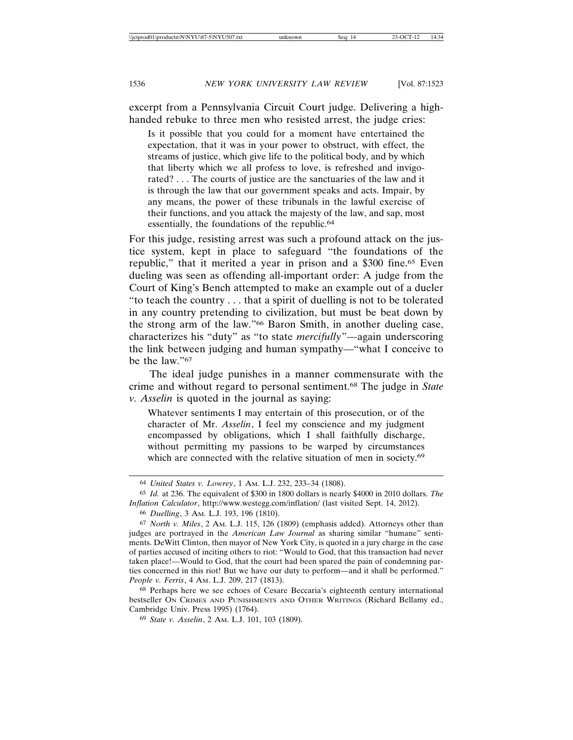excerpt from a Pennsylvania Circuit Court judge. Delivering a highhanded rebuke to three men who resisted arrest, the judge cries:

Is it possible that you could for a moment have entertained the expectation, that it was in your power to obstruct, with effect, the streams of justice, which give life to the political body, and by which that liberty which we all profess to love, is refreshed and invigorated? . . . The courts of justice are the sanctuaries of the law and it is through the law that our government speaks and acts. Impair, by any means, the power of these tribunals in the lawful exercise of their functions, and you attack the majesty of the law, and sap, most essentially, the foundations of the republic.<sup>64</sup>

For this judge, resisting arrest was such a profound attack on the justice system, kept in place to safeguard "the foundations of the republic," that it merited a year in prison and a \$300 fine.65 Even dueling was seen as offending all-important order: A judge from the Court of King's Bench attempted to make an example out of a dueler "to teach the country . . . that a spirit of duelling is not to be tolerated in any country pretending to civilization, but must be beat down by the strong arm of the law."66 Baron Smith, in another dueling case, characterizes his "duty" as "to state *mercifully*"—again underscoring the link between judging and human sympathy—"what I conceive to be the law."67

The ideal judge punishes in a manner commensurate with the crime and without regard to personal sentiment.68 The judge in *State v. Asselin* is quoted in the journal as saying:

Whatever sentiments I may entertain of this prosecution, or of the character of Mr. *Asselin*, I feel my conscience and my judgment encompassed by obligations, which I shall faithfully discharge, without permitting my passions to be warped by circumstances which are connected with the relative situation of men in society.<sup>69</sup>

68 Perhaps here we see echoes of Cesare Beccaria's eighteenth century international bestseller ON CRIMES AND PUNISHMENTS AND OTHER WRITINGS (Richard Bellamy ed., Cambridge Univ. Press 1995) (1764).

69 *State v. Asselin*, 2 AM. L.J. 101, 103 (1809).

<sup>64</sup> *United States v. Lowrey*, 1 AM. L.J. 232, 233–34 (1808).

<sup>65</sup> *Id.* at 236. The equivalent of \$300 in 1800 dollars is nearly \$4000 in 2010 dollars. *The Inflation Calculator*, http://www.westegg.com/inflation/ (last visited Sept. 14, 2012).

<sup>66</sup> *Duelling*, 3 AM. L.J. 193, 196 (1810).

<sup>67</sup> *North v. Miles*, 2 AM. L.J. 115, 126 (1809) (emphasis added). Attorneys other than judges are portrayed in the *American Law Journal* as sharing similar "humane" sentiments. DeWitt Clinton, then mayor of New York City, is quoted in a jury charge in the case of parties accused of inciting others to riot: "Would to God, that this transaction had never taken place!—Would to God, that the court had been spared the pain of condemning parties concerned in this riot! But we have our duty to perform—and it shall be performed." *People v. Ferris*, 4 AM. L.J. 209, 217 (1813).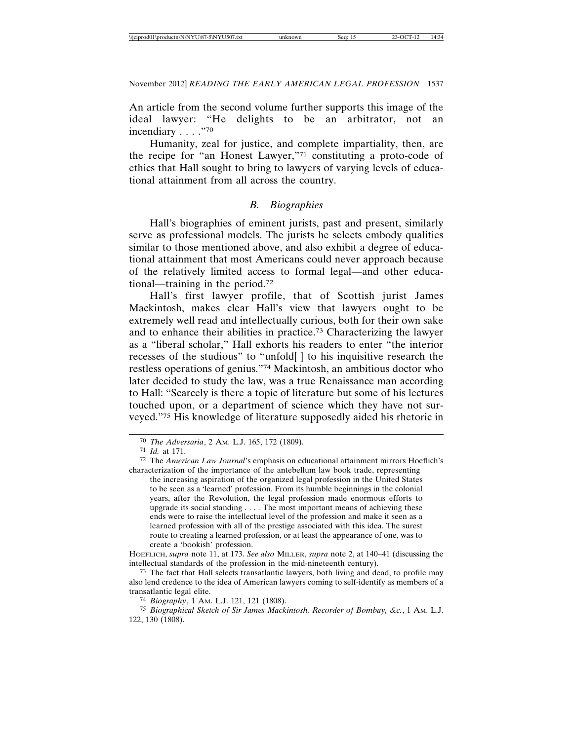An article from the second volume further supports this image of the ideal lawyer: "He delights to be an arbitrator, not an incendiary . . . . "70

Humanity, zeal for justice, and complete impartiality, then, are the recipe for "an Honest Lawyer,"71 constituting a proto-code of ethics that Hall sought to bring to lawyers of varying levels of educational attainment from all across the country.

### *B. Biographies*

Hall's biographies of eminent jurists, past and present, similarly serve as professional models. The jurists he selects embody qualities similar to those mentioned above, and also exhibit a degree of educational attainment that most Americans could never approach because of the relatively limited access to formal legal—and other educational—training in the period.72

Hall's first lawyer profile, that of Scottish jurist James Mackintosh, makes clear Hall's view that lawyers ought to be extremely well read and intellectually curious, both for their own sake and to enhance their abilities in practice.73 Characterizing the lawyer as a "liberal scholar," Hall exhorts his readers to enter "the interior recesses of the studious" to "unfold[ ] to his inquisitive research the restless operations of genius."74 Mackintosh, an ambitious doctor who later decided to study the law, was a true Renaissance man according to Hall: "Scarcely is there a topic of literature but some of his lectures touched upon, or a department of science which they have not surveyed."75 His knowledge of literature supposedly aided his rhetoric in

72 The *American Law Journal*'s emphasis on educational attainment mirrors Hoeflich's characterization of the importance of the antebellum law book trade, representing

the increasing aspiration of the organized legal profession in the United States to be seen as a 'learned' profession. From its humble beginnings in the colonial years, after the Revolution, the legal profession made enormous efforts to upgrade its social standing . . . . The most important means of achieving these ends were to raise the intellectual level of the profession and make it seen as a learned profession with all of the prestige associated with this idea. The surest route to creating a learned profession, or at least the appearance of one, was to create a 'bookish' profession.

HOEFLICH, *supra* note 11, at 173. *See also* MILLER, *supra* note 2, at 140–41 (discussing the intellectual standards of the profession in the mid-nineteenth century).

73 The fact that Hall selects transatlantic lawyers, both living and dead, to profile may also lend credence to the idea of American lawyers coming to self-identify as members of a transatlantic legal elite.

74 *Biography*, 1 AM. L.J. 121, 121 (1808).

75 *Biographical Sketch of Sir James Mackintosh, Recorder of Bombay, &c.*, 1 AM. L.J. 122, 130 (1808).

<sup>70</sup> *The Adversaria*, 2 AM. L.J. 165, 172 (1809).

<sup>71</sup> *Id.* at 171.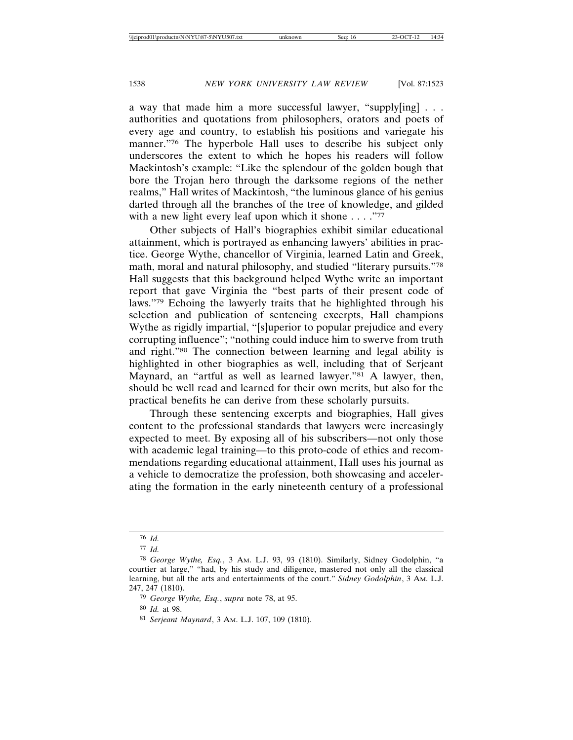a way that made him a more successful lawyer, "supply[ing] . . . authorities and quotations from philosophers, orators and poets of every age and country, to establish his positions and variegate his manner."76 The hyperbole Hall uses to describe his subject only underscores the extent to which he hopes his readers will follow Mackintosh's example: "Like the splendour of the golden bough that bore the Trojan hero through the darksome regions of the nether realms," Hall writes of Mackintosh, "the luminous glance of his genius darted through all the branches of the tree of knowledge, and gilded with a new light every leaf upon which it shone  $\dots$ ."77

Other subjects of Hall's biographies exhibit similar educational attainment, which is portrayed as enhancing lawyers' abilities in practice. George Wythe, chancellor of Virginia, learned Latin and Greek, math, moral and natural philosophy, and studied "literary pursuits."78 Hall suggests that this background helped Wythe write an important report that gave Virginia the "best parts of their present code of laws."79 Echoing the lawyerly traits that he highlighted through his selection and publication of sentencing excerpts, Hall champions Wythe as rigidly impartial, "[s]uperior to popular prejudice and every corrupting influence"; "nothing could induce him to swerve from truth and right."80 The connection between learning and legal ability is highlighted in other biographies as well, including that of Serjeant Maynard, an "artful as well as learned lawyer."<sup>81</sup> A lawyer, then, should be well read and learned for their own merits, but also for the practical benefits he can derive from these scholarly pursuits.

Through these sentencing excerpts and biographies, Hall gives content to the professional standards that lawyers were increasingly expected to meet. By exposing all of his subscribers—not only those with academic legal training—to this proto-code of ethics and recommendations regarding educational attainment, Hall uses his journal as a vehicle to democratize the profession, both showcasing and accelerating the formation in the early nineteenth century of a professional

<sup>76</sup> *Id.*

<sup>77</sup> *Id.*

<sup>78</sup> *George Wythe, Esq.*, 3 AM. L.J. 93, 93 (1810). Similarly, Sidney Godolphin, "a courtier at large," "had, by his study and diligence, mastered not only all the classical learning, but all the arts and entertainments of the court." *Sidney Godolphin*, 3 AM. L.J. 247, 247 (1810).

<sup>79</sup> *George Wythe, Esq.*, *supra* note 78, at 95.

<sup>80</sup> *Id.* at 98.

<sup>81</sup> *Serjeant Maynard*, 3 AM. L.J. 107, 109 (1810).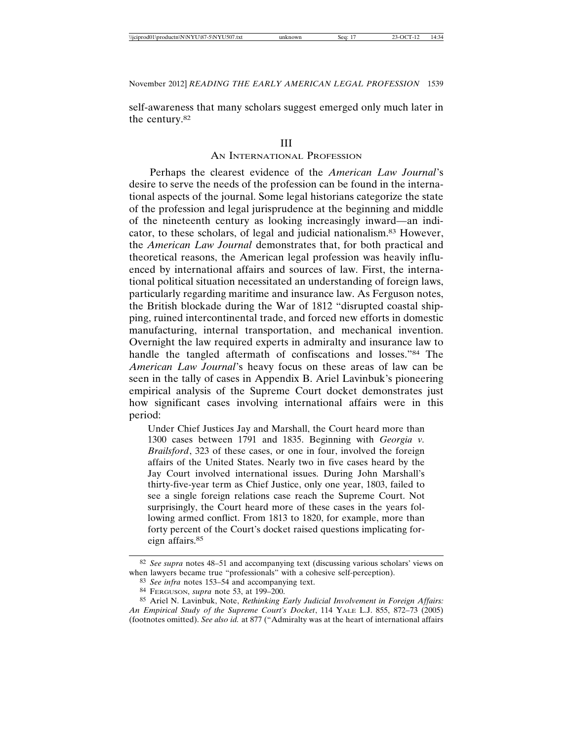self-awareness that many scholars suggest emerged only much later in the century.82

#### III

#### AN INTERNATIONAL PROFESSION

Perhaps the clearest evidence of the *American Law Journal*'s desire to serve the needs of the profession can be found in the international aspects of the journal. Some legal historians categorize the state of the profession and legal jurisprudence at the beginning and middle of the nineteenth century as looking increasingly inward—an indicator, to these scholars, of legal and judicial nationalism.83 However, the *American Law Journal* demonstrates that, for both practical and theoretical reasons, the American legal profession was heavily influenced by international affairs and sources of law. First, the international political situation necessitated an understanding of foreign laws, particularly regarding maritime and insurance law. As Ferguson notes, the British blockade during the War of 1812 "disrupted coastal shipping, ruined intercontinental trade, and forced new efforts in domestic manufacturing, internal transportation, and mechanical invention. Overnight the law required experts in admiralty and insurance law to handle the tangled aftermath of confiscations and losses."84 The *American Law Journal*'s heavy focus on these areas of law can be seen in the tally of cases in Appendix B. Ariel Lavinbuk's pioneering empirical analysis of the Supreme Court docket demonstrates just how significant cases involving international affairs were in this period:

Under Chief Justices Jay and Marshall, the Court heard more than 1300 cases between 1791 and 1835. Beginning with *Georgia v. Brailsford*, 323 of these cases, or one in four, involved the foreign affairs of the United States. Nearly two in five cases heard by the Jay Court involved international issues. During John Marshall's thirty-five-year term as Chief Justice, only one year, 1803, failed to see a single foreign relations case reach the Supreme Court. Not surprisingly, the Court heard more of these cases in the years following armed conflict. From 1813 to 1820, for example, more than forty percent of the Court's docket raised questions implicating foreign affairs.85

<sup>82</sup> *See supra* notes 48–51 and accompanying text (discussing various scholars' views on when lawyers became true "professionals" with a cohesive self-perception).

<sup>83</sup> *See infra* notes 153–54 and accompanying text.

<sup>84</sup> FERGUSON, *supra* note 53, at 199–200.

<sup>85</sup> Ariel N. Lavinbuk, Note, *Rethinking Early Judicial Involvement in Foreign Affairs: An Empirical Study of the Supreme Court's Docket*, 114 YALE L.J. 855, 872–73 (2005) (footnotes omitted). *See also id.* at 877 ("Admiralty was at the heart of international affairs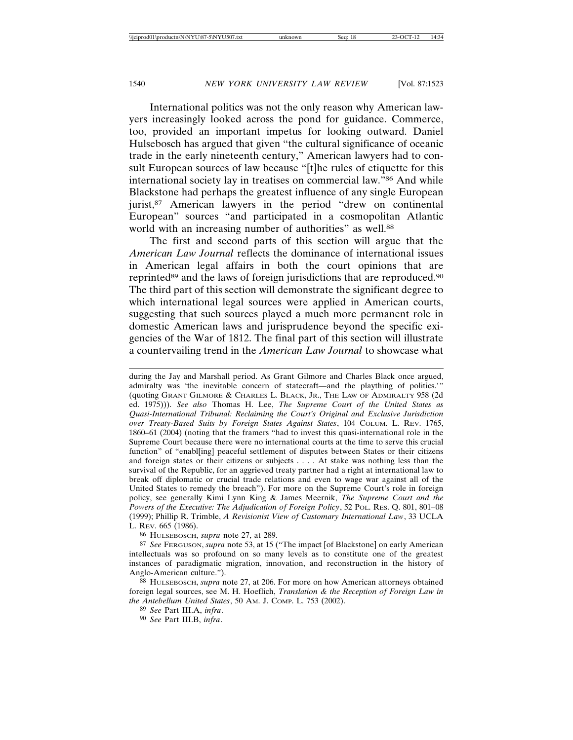International politics was not the only reason why American lawyers increasingly looked across the pond for guidance. Commerce, too, provided an important impetus for looking outward. Daniel Hulsebosch has argued that given "the cultural significance of oceanic trade in the early nineteenth century," American lawyers had to consult European sources of law because "[t]he rules of etiquette for this international society lay in treatises on commercial law."86 And while Blackstone had perhaps the greatest influence of any single European jurist,<sup>87</sup> American lawyers in the period "drew on continental European" sources "and participated in a cosmopolitan Atlantic world with an increasing number of authorities" as well.<sup>88</sup>

The first and second parts of this section will argue that the *American Law Journal* reflects the dominance of international issues in American legal affairs in both the court opinions that are reprinted<sup>89</sup> and the laws of foreign jurisdictions that are reproduced.<sup>90</sup> The third part of this section will demonstrate the significant degree to which international legal sources were applied in American courts, suggesting that such sources played a much more permanent role in domestic American laws and jurisprudence beyond the specific exigencies of the War of 1812. The final part of this section will illustrate a countervailing trend in the *American Law Journal* to showcase what

during the Jay and Marshall period. As Grant Gilmore and Charles Black once argued, admiralty was 'the inevitable concern of statecraft—and the plaything of politics.'" (quoting GRANT GILMORE & CHARLES L. BLACK, JR., THE LAW OF ADMIRALTY 958 (2d ed. 1975))). *See also* Thomas H. Lee, *The Supreme Court of the United States as Quasi-International Tribunal: Reclaiming the Court's Original and Exclusive Jurisdiction over Treaty-Based Suits by Foreign States Against States*, 104 COLUM. L. REV. 1765, 1860–61 (2004) (noting that the framers "had to invest this quasi-international role in the Supreme Court because there were no international courts at the time to serve this crucial function" of "enabl[ing] peaceful settlement of disputes between States or their citizens and foreign states or their citizens or subjects . . . . At stake was nothing less than the survival of the Republic, for an aggrieved treaty partner had a right at international law to break off diplomatic or crucial trade relations and even to wage war against all of the United States to remedy the breach"). For more on the Supreme Court's role in foreign policy, see generally Kimi Lynn King & James Meernik, *The Supreme Court and the Powers of the Executive: The Adjudication of Foreign Policy*, 52 POL. RES. Q. 801, 801–08 (1999); Phillip R. Trimble, *A Revisionist View of Customary International Law*, 33 UCLA L. REV. 665 (1986).

86 HULSEBOSCH, *supra* note 27, at 289.

87 *See* FERGUSON, *supra* note 53, at 15 ("The impact [of Blackstone] on early American intellectuals was so profound on so many levels as to constitute one of the greatest instances of paradigmatic migration, innovation, and reconstruction in the history of Anglo-American culture.").

88 HULSEBOSCH, *supra* note 27, at 206. For more on how American attorneys obtained foreign legal sources, see M. H. Hoeflich, *Translation & the Reception of Foreign Law in the Antebellum United States*, 50 AM. J. COMP. L. 753 (2002).

89 *See* Part III.A, *infra*.

90 *See* Part III.B, *infra*.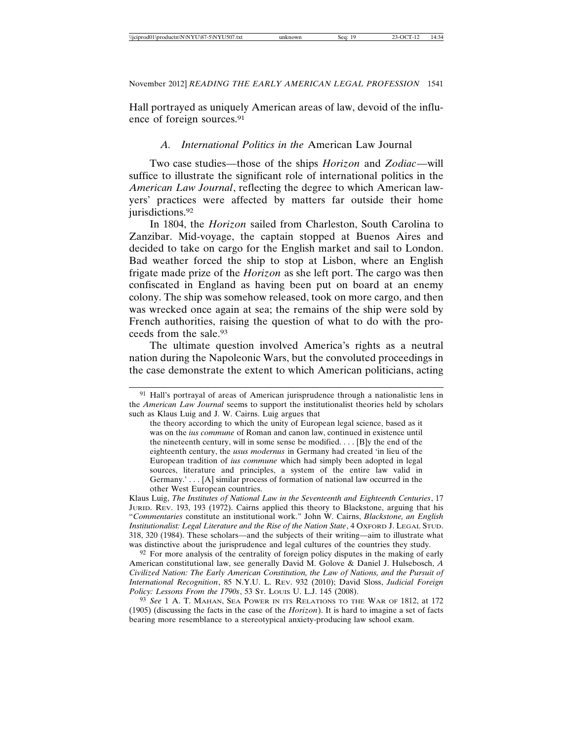Hall portrayed as uniquely American areas of law, devoid of the influence of foreign sources.91

### *A. International Politics in the* American Law Journal

Two case studies—those of the ships *Horizon* and *Zodiac*—will suffice to illustrate the significant role of international politics in the *American Law Journal*, reflecting the degree to which American lawyers' practices were affected by matters far outside their home jurisdictions.<sup>92</sup>

In 1804, the *Horizon* sailed from Charleston, South Carolina to Zanzibar. Mid-voyage, the captain stopped at Buenos Aires and decided to take on cargo for the English market and sail to London. Bad weather forced the ship to stop at Lisbon, where an English frigate made prize of the *Horizon* as she left port. The cargo was then confiscated in England as having been put on board at an enemy colony. The ship was somehow released, took on more cargo, and then was wrecked once again at sea; the remains of the ship were sold by French authorities, raising the question of what to do with the proceeds from the sale.93

The ultimate question involved America's rights as a neutral nation during the Napoleonic Wars, but the convoluted proceedings in the case demonstrate the extent to which American politicians, acting

Klaus Luig, *The Institutes of National Law in the Seventeenth and Eighteenth Centuries*, 17 JURID. REV. 193, 193 (1972). Cairns applied this theory to Blackstone, arguing that his "*Commentaries* constitute an institutional work." John W. Cairns, *Blackstone, an English Institutionalist: Legal Literature and the Rise of the Nation State*, 4 OXFORD J. LEGAL STUD. 318, 320 (1984). These scholars—and the subjects of their writing—aim to illustrate what was distinctive about the jurisprudence and legal cultures of the countries they study.

92 For more analysis of the centrality of foreign policy disputes in the making of early American constitutional law, see generally David M. Golove & Daniel J. Hulsebosch, *A Civilized Nation: The Early American Constitution, the Law of Nations, and the Pursuit of International Recognition*, 85 N.Y.U. L. REV. 932 (2010); David Sloss, *Judicial Foreign Policy: Lessons From the 1790s*, 53 ST. LOUIS U. L.J. 145 (2008).

93 *See* 1 A. T. MAHAN, SEA POWER IN ITS RELATIONS TO THE WAR OF 1812, at 172 (1905) (discussing the facts in the case of the *Horizon*). It is hard to imagine a set of facts bearing more resemblance to a stereotypical anxiety-producing law school exam.

<sup>91</sup> Hall's portrayal of areas of American jurisprudence through a nationalistic lens in the *American Law Journal* seems to support the institutionalist theories held by scholars such as Klaus Luig and J. W. Cairns. Luig argues that

the theory according to which the unity of European legal science, based as it was on the *ius commune* of Roman and canon law, continued in existence until the nineteenth century, will in some sense be modified. . . . [B]y the end of the eighteenth century, the *usus modernus* in Germany had created 'in lieu of the European tradition of *ius commune* which had simply been adopted in legal sources, literature and principles, a system of the entire law valid in Germany.' . . . [A] similar process of formation of national law occurred in the other West European countries.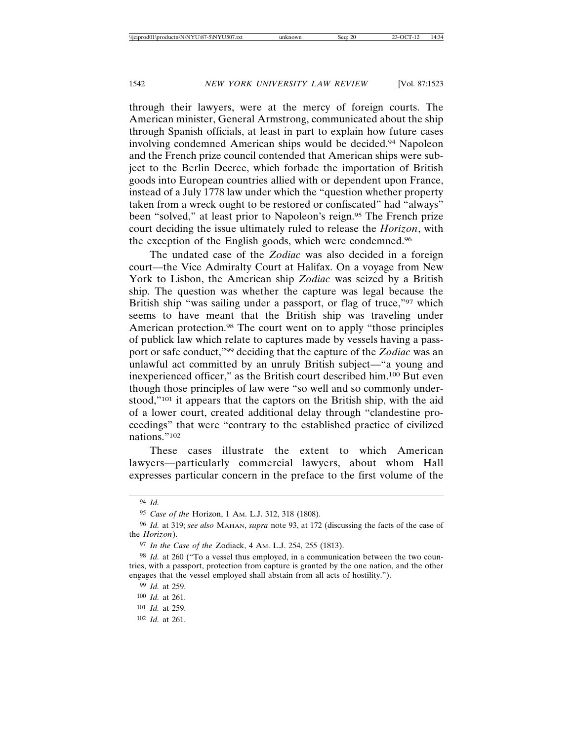through their lawyers, were at the mercy of foreign courts. The American minister, General Armstrong, communicated about the ship through Spanish officials, at least in part to explain how future cases involving condemned American ships would be decided.94 Napoleon and the French prize council contended that American ships were subject to the Berlin Decree, which forbade the importation of British goods into European countries allied with or dependent upon France, instead of a July 1778 law under which the "question whether property taken from a wreck ought to be restored or confiscated" had "always" been "solved," at least prior to Napoleon's reign.<sup>95</sup> The French prize court deciding the issue ultimately ruled to release the *Horizon*, with the exception of the English goods, which were condemned.96

The undated case of the *Zodiac* was also decided in a foreign court—the Vice Admiralty Court at Halifax. On a voyage from New York to Lisbon, the American ship *Zodiac* was seized by a British ship. The question was whether the capture was legal because the British ship "was sailing under a passport, or flag of truce,"97 which seems to have meant that the British ship was traveling under American protection.98 The court went on to apply "those principles of publick law which relate to captures made by vessels having a passport or safe conduct,"99 deciding that the capture of the *Zodiac* was an unlawful act committed by an unruly British subject—"a young and inexperienced officer," as the British court described him.100 But even though those principles of law were "so well and so commonly understood,"101 it appears that the captors on the British ship, with the aid of a lower court, created additional delay through "clandestine proceedings" that were "contrary to the established practice of civilized nations."102

These cases illustrate the extent to which American lawyers—particularly commercial lawyers, about whom Hall expresses particular concern in the preface to the first volume of the

<sup>94</sup> *Id.*

<sup>95</sup> *Case of the* Horizon, 1 AM. L.J. 312, 318 (1808).

<sup>96</sup> *Id.* at 319; *see also* MAHAN, *supra* note 93, at 172 (discussing the facts of the case of the *Horizon*).

<sup>97</sup> *In the Case of the* Zodiack, 4 AM. L.J. 254, 255 (1813).

<sup>98</sup> *Id.* at 260 ("To a vessel thus employed, in a communication between the two countries, with a passport, protection from capture is granted by the one nation, and the other engages that the vessel employed shall abstain from all acts of hostility.").

<sup>99</sup> *Id.* at 259.

<sup>100</sup> *Id.* at 261.

<sup>101</sup> *Id.* at 259.

<sup>102</sup> *Id.* at 261.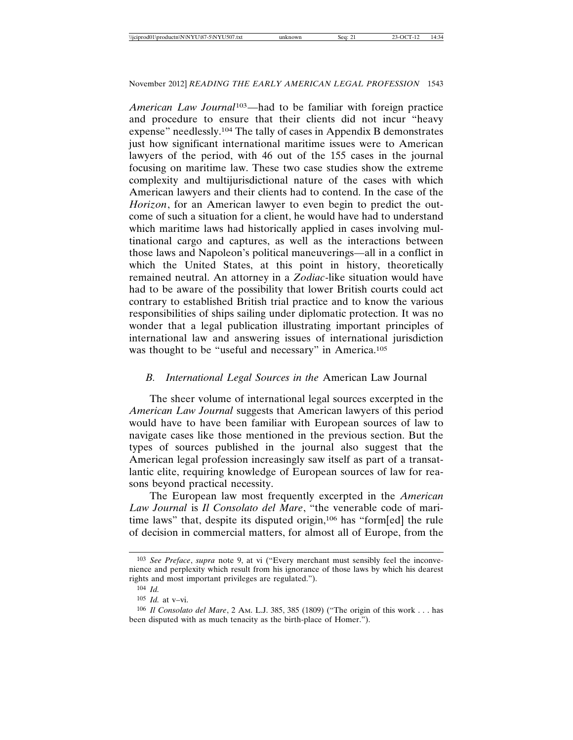*American Law Journal*103—had to be familiar with foreign practice and procedure to ensure that their clients did not incur "heavy expense" needlessly.104 The tally of cases in Appendix B demonstrates just how significant international maritime issues were to American lawyers of the period, with 46 out of the 155 cases in the journal focusing on maritime law. These two case studies show the extreme complexity and multijurisdictional nature of the cases with which American lawyers and their clients had to contend. In the case of the *Horizon*, for an American lawyer to even begin to predict the outcome of such a situation for a client, he would have had to understand which maritime laws had historically applied in cases involving multinational cargo and captures, as well as the interactions between those laws and Napoleon's political maneuverings—all in a conflict in which the United States, at this point in history, theoretically remained neutral. An attorney in a *Zodiac*-like situation would have had to be aware of the possibility that lower British courts could act contrary to established British trial practice and to know the various responsibilities of ships sailing under diplomatic protection. It was no wonder that a legal publication illustrating important principles of international law and answering issues of international jurisdiction was thought to be "useful and necessary" in America.105

### *B. International Legal Sources in the* American Law Journal

The sheer volume of international legal sources excerpted in the *American Law Journal* suggests that American lawyers of this period would have to have been familiar with European sources of law to navigate cases like those mentioned in the previous section. But the types of sources published in the journal also suggest that the American legal profession increasingly saw itself as part of a transatlantic elite, requiring knowledge of European sources of law for reasons beyond practical necessity.

The European law most frequently excerpted in the *American Law Journal* is *Il Consolato del Mare*, "the venerable code of maritime laws" that, despite its disputed origin,106 has "form[ed] the rule of decision in commercial matters, for almost all of Europe, from the

<sup>103</sup> *See Preface*, *supra* note 9, at vi ("Every merchant must sensibly feel the inconvenience and perplexity which result from his ignorance of those laws by which his dearest rights and most important privileges are regulated.").

<sup>104</sup> *Id.*

<sup>105</sup> *Id.* at v–vi.

<sup>106</sup> *Il Consolato del Mare*, 2 AM. L.J. 385, 385 (1809) ("The origin of this work . . . has been disputed with as much tenacity as the birth-place of Homer.").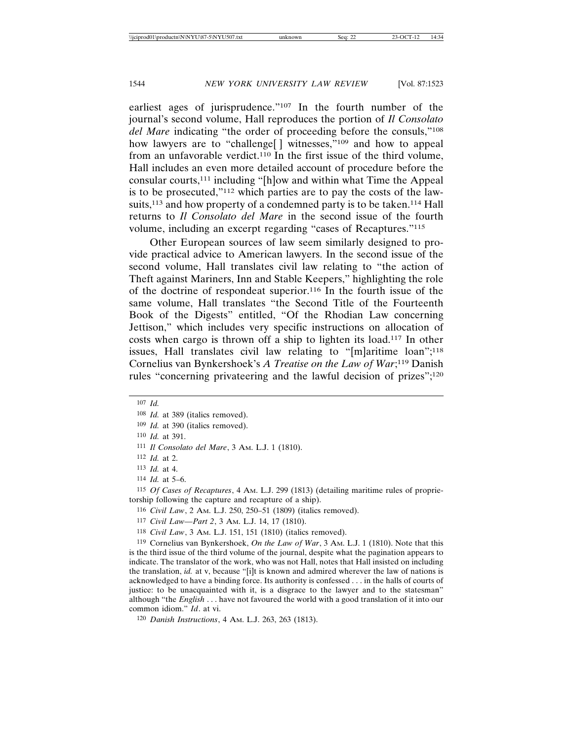earliest ages of jurisprudence."<sup>107</sup> In the fourth number of the journal's second volume, Hall reproduces the portion of *Il Consolato del Mare* indicating "the order of proceeding before the consuls,"108 how lawyers are to "challenge[] witnesses,"<sup>109</sup> and how to appeal from an unfavorable verdict.110 In the first issue of the third volume, Hall includes an even more detailed account of procedure before the consular courts,111 including "[h]ow and within what Time the Appeal is to be prosecuted,"112 which parties are to pay the costs of the lawsuits,<sup>113</sup> and how property of a condemned party is to be taken.<sup>114</sup> Hall returns to *Il Consolato del Mare* in the second issue of the fourth volume, including an excerpt regarding "cases of Recaptures."115

Other European sources of law seem similarly designed to provide practical advice to American lawyers. In the second issue of the second volume, Hall translates civil law relating to "the action of Theft against Mariners, Inn and Stable Keepers," highlighting the role of the doctrine of respondeat superior.116 In the fourth issue of the same volume, Hall translates "the Second Title of the Fourteenth Book of the Digests" entitled, "Of the Rhodian Law concerning Jettison," which includes very specific instructions on allocation of costs when cargo is thrown off a ship to lighten its load.117 In other issues, Hall translates civil law relating to "[m]aritime loan";<sup>118</sup> Cornelius van Bynkershoek's *A Treatise on the Law of War*; 119 Danish rules "concerning privateering and the lawful decision of prizes";120

115 *Of Cases of Recaptures*, 4 AM. L.J. 299 (1813) (detailing maritime rules of proprietorship following the capture and recapture of a ship).

116 *Civil Law*, 2 AM. L.J. 250, 250–51 (1809) (italics removed).

117 *Civil Law—Part 2*, 3 AM. L.J. 14, 17 (1810).

118 *Civil Law*, 3 AM. L.J. 151, 151 (1810) (italics removed).

119 Cornelius van Bynkershoek, *On the Law of War*, 3 AM. L.J. 1 (1810). Note that this is the third issue of the third volume of the journal, despite what the pagination appears to indicate. The translator of the work, who was not Hall, notes that Hall insisted on including the translation, *id.* at v, because "[i]t is known and admired wherever the law of nations is acknowledged to have a binding force. Its authority is confessed . . . in the halls of courts of justice: to be unacquainted with it, is a disgrace to the lawyer and to the statesman" although "the *English* . . . have not favoured the world with a good translation of it into our common idiom." *Id*. at vi.

120 *Danish Instructions*, 4 AM. L.J. 263, 263 (1813).

<sup>107</sup> *Id.*

<sup>108</sup> *Id.* at 389 (italics removed).

<sup>109</sup> *Id.* at 390 (italics removed).

<sup>110</sup> *Id.* at 391.

<sup>111</sup> *Il Consolato del Mare*, 3 AM. L.J. 1 (1810).

<sup>112</sup> *Id.* at 2.

<sup>113</sup> *Id.* at 4.

<sup>114</sup> *Id.* at 5–6.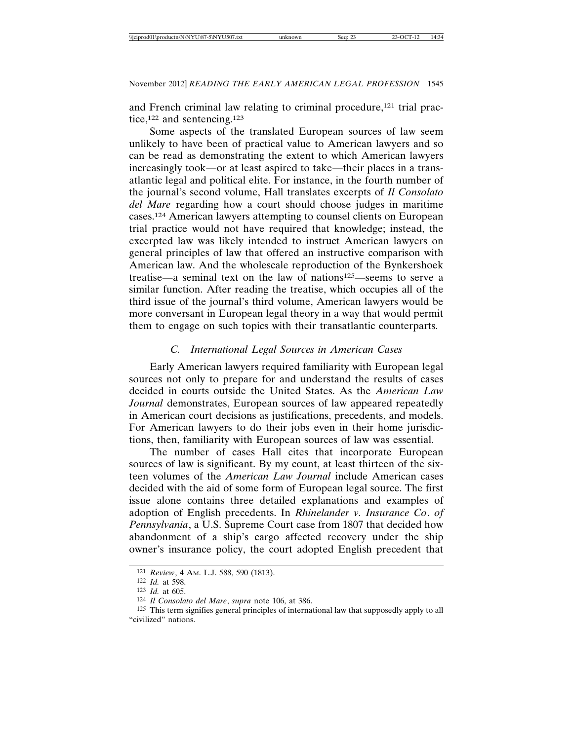and French criminal law relating to criminal procedure,<sup>121</sup> trial practice,<sup>122</sup> and sentencing.<sup>123</sup>

Some aspects of the translated European sources of law seem unlikely to have been of practical value to American lawyers and so can be read as demonstrating the extent to which American lawyers increasingly took—or at least aspired to take—their places in a transatlantic legal and political elite. For instance, in the fourth number of the journal's second volume, Hall translates excerpts of *Il Consolato del Mare* regarding how a court should choose judges in maritime cases.124 American lawyers attempting to counsel clients on European trial practice would not have required that knowledge; instead, the excerpted law was likely intended to instruct American lawyers on general principles of law that offered an instructive comparison with American law. And the wholescale reproduction of the Bynkershoek treatise—a seminal text on the law of nations125—seems to serve a similar function. After reading the treatise, which occupies all of the third issue of the journal's third volume, American lawyers would be more conversant in European legal theory in a way that would permit them to engage on such topics with their transatlantic counterparts.

### *C. International Legal Sources in American Cases*

Early American lawyers required familiarity with European legal sources not only to prepare for and understand the results of cases decided in courts outside the United States. As the *American Law Journal* demonstrates, European sources of law appeared repeatedly in American court decisions as justifications, precedents, and models. For American lawyers to do their jobs even in their home jurisdictions, then, familiarity with European sources of law was essential.

The number of cases Hall cites that incorporate European sources of law is significant. By my count, at least thirteen of the sixteen volumes of the *American Law Journal* include American cases decided with the aid of some form of European legal source. The first issue alone contains three detailed explanations and examples of adoption of English precedents. In *Rhinelander v. Insurance Co*. *of Pennsylvania*, a U.S. Supreme Court case from 1807 that decided how abandonment of a ship's cargo affected recovery under the ship owner's insurance policy, the court adopted English precedent that

<sup>121</sup> *Review*, 4 AM. L.J. 588, 590 (1813).

<sup>122</sup> *Id.* at 598.

<sup>123</sup> *Id.* at 605.

<sup>124</sup> *Il Consolato del Mare*, *supra* note 106, at 386.

<sup>125</sup> This term signifies general principles of international law that supposedly apply to all "civilized" nations.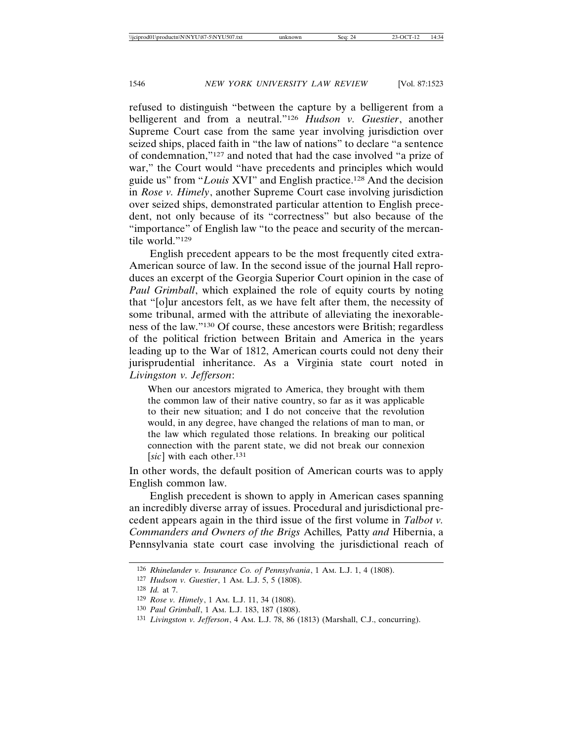refused to distinguish "between the capture by a belligerent from a belligerent and from a neutral."126 *Hudson v. Guestier*, another Supreme Court case from the same year involving jurisdiction over seized ships, placed faith in "the law of nations" to declare "a sentence of condemnation,"127 and noted that had the case involved "a prize of war," the Court would "have precedents and principles which would guide us" from "*Louis* XVI" and English practice.128 And the decision in *Rose v. Himely*, another Supreme Court case involving jurisdiction over seized ships, demonstrated particular attention to English precedent, not only because of its "correctness" but also because of the "importance" of English law "to the peace and security of the mercantile world."129

English precedent appears to be the most frequently cited extra-American source of law. In the second issue of the journal Hall reproduces an excerpt of the Georgia Superior Court opinion in the case of *Paul Grimball*, which explained the role of equity courts by noting that "[o]ur ancestors felt, as we have felt after them, the necessity of some tribunal, armed with the attribute of alleviating the inexorableness of the law."130 Of course, these ancestors were British; regardless of the political friction between Britain and America in the years leading up to the War of 1812, American courts could not deny their jurisprudential inheritance. As a Virginia state court noted in *Livingston v. Jefferson*:

When our ancestors migrated to America, they brought with them the common law of their native country, so far as it was applicable to their new situation; and I do not conceive that the revolution would, in any degree, have changed the relations of man to man, or the law which regulated those relations. In breaking our political connection with the parent state, we did not break our connexion [sic] with each other.<sup>131</sup>

In other words, the default position of American courts was to apply English common law.

English precedent is shown to apply in American cases spanning an incredibly diverse array of issues. Procedural and jurisdictional precedent appears again in the third issue of the first volume in *Talbot v. Commanders and Owners of the Brigs* Achilles*,* Patty *and* Hibernia, a Pennsylvania state court case involving the jurisdictional reach of

<sup>126</sup> *Rhinelander v. Insurance Co. of Pennsylvania*, 1 AM. L.J. 1, 4 (1808).

<sup>127</sup> *Hudson v. Guestier*, 1 AM. L.J. 5, 5 (1808).

<sup>128</sup> *Id.* at 7.

<sup>129</sup> *Rose v. Himely*, 1 AM. L.J. 11, 34 (1808).

<sup>130</sup> *Paul Grimball*, 1 AM. L.J. 183, 187 (1808).

<sup>131</sup> *Livingston v. Jefferson*, 4 AM. L.J. 78, 86 (1813) (Marshall, C.J., concurring).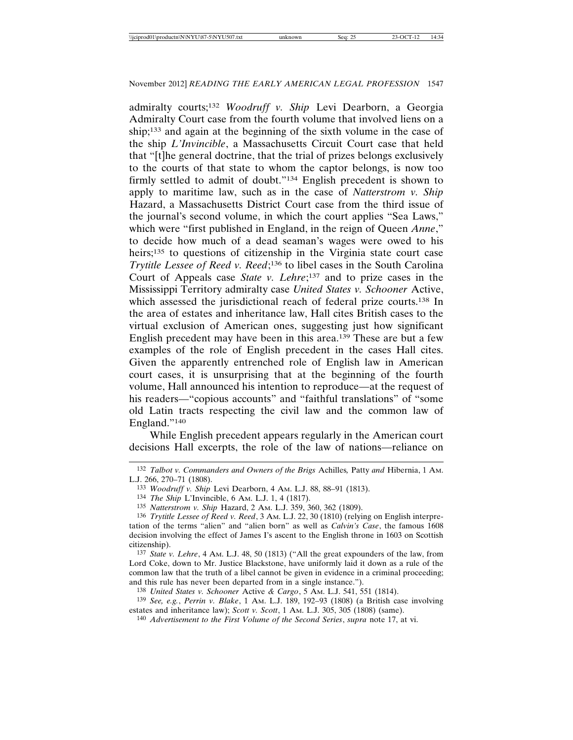admiralty courts;132 *Woodruff v. Ship* Levi Dearborn, a Georgia Admiralty Court case from the fourth volume that involved liens on a ship;133 and again at the beginning of the sixth volume in the case of the ship *L'Invincible*, a Massachusetts Circuit Court case that held that "[t]he general doctrine, that the trial of prizes belongs exclusively to the courts of that state to whom the captor belongs, is now too firmly settled to admit of doubt."134 English precedent is shown to apply to maritime law, such as in the case of *Natterstrom v. Ship* Hazard, a Massachusetts District Court case from the third issue of the journal's second volume, in which the court applies "Sea Laws," which were "first published in England, in the reign of Queen *Anne*," to decide how much of a dead seaman's wages were owed to his heirs;135 to questions of citizenship in the Virginia state court case *Trytitle Lessee of Reed v. Reed*; 136 to libel cases in the South Carolina Court of Appeals case *State v. Lehre*; 137 and to prize cases in the Mississippi Territory admiralty case *United States v. Schooner* Active, which assessed the jurisdictional reach of federal prize courts.<sup>138</sup> In the area of estates and inheritance law, Hall cites British cases to the virtual exclusion of American ones, suggesting just how significant English precedent may have been in this area.139 These are but a few examples of the role of English precedent in the cases Hall cites. Given the apparently entrenched role of English law in American court cases, it is unsurprising that at the beginning of the fourth volume, Hall announced his intention to reproduce—at the request of his readers—"copious accounts" and "faithful translations" of "some old Latin tracts respecting the civil law and the common law of England."140

While English precedent appears regularly in the American court decisions Hall excerpts, the role of the law of nations—reliance on

137 *State v. Lehre*, 4 AM. L.J. 48, 50 (1813) ("All the great expounders of the law, from Lord Coke, down to Mr. Justice Blackstone, have uniformly laid it down as a rule of the common law that the truth of a libel cannot be given in evidence in a criminal proceeding; and this rule has never been departed from in a single instance.").

<sup>132</sup> *Talbot v. Commanders and Owners of the Brigs* Achilles*,* Patty *and* Hibernia, 1 AM. L.J. 266, 270–71 (1808).

<sup>133</sup> *Woodruff v. Ship* Levi Dearborn, 4 AM. L.J. 88, 88–91 (1813).

<sup>134</sup> *The Ship* L'Invincible, 6 AM. L.J. 1, 4 (1817).

<sup>135</sup> *Natterstrom v. Ship* Hazard, 2 AM. L.J. 359, 360, 362 (1809).

<sup>136</sup> *Trytitle Lessee of Reed v. Reed*, 3 AM. L.J. 22, 30 (1810) (relying on English interpretation of the terms "alien" and "alien born" as well as *Calvin's Case*, the famous 1608 decision involving the effect of James I's ascent to the English throne in 1603 on Scottish citizenship).

<sup>138</sup> *United States v. Schooner* Active *& Cargo*, 5 AM. L.J. 541, 551 (1814).

<sup>139</sup> *See, e.g.*, *Perrin v. Blake*, 1 AM. L.J. 189, 192–93 (1808) (a British case involving estates and inheritance law); *Scott v. Scott*, 1 AM. L.J. 305, 305 (1808) (same).

<sup>140</sup> *Advertisement to the First Volume of the Second Series*, *supra* note 17, at vi.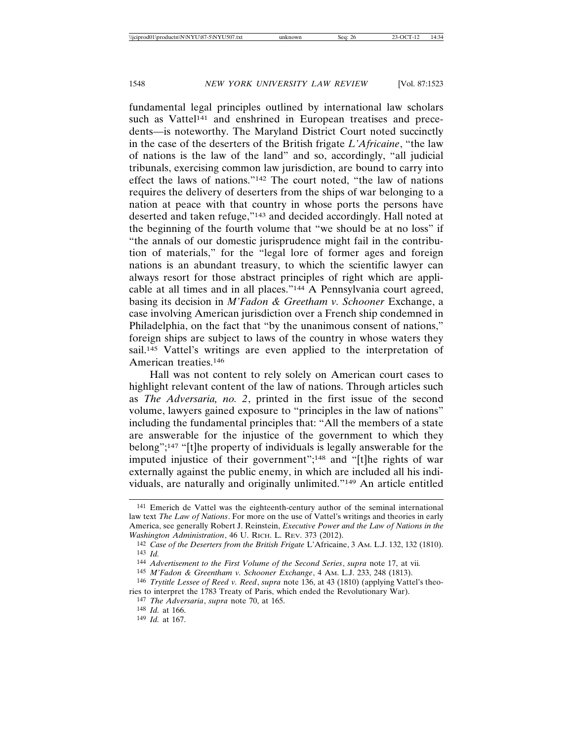fundamental legal principles outlined by international law scholars such as Vattel<sup>141</sup> and enshrined in European treatises and precedents—is noteworthy. The Maryland District Court noted succinctly in the case of the deserters of the British frigate *L'Africaine*, "the law of nations is the law of the land" and so, accordingly, "all judicial tribunals, exercising common law jurisdiction, are bound to carry into effect the laws of nations."142 The court noted, "the law of nations requires the delivery of deserters from the ships of war belonging to a nation at peace with that country in whose ports the persons have deserted and taken refuge,"143 and decided accordingly. Hall noted at the beginning of the fourth volume that "we should be at no loss" if "the annals of our domestic jurisprudence might fail in the contribution of materials," for the "legal lore of former ages and foreign nations is an abundant treasury, to which the scientific lawyer can always resort for those abstract principles of right which are applicable at all times and in all places."144 A Pennsylvania court agreed, basing its decision in *M'Fadon & Greetham v. Schooner* Exchange, a case involving American jurisdiction over a French ship condemned in Philadelphia, on the fact that "by the unanimous consent of nations," foreign ships are subject to laws of the country in whose waters they sail.<sup>145</sup> Vattel's writings are even applied to the interpretation of American treaties.146

Hall was not content to rely solely on American court cases to highlight relevant content of the law of nations. Through articles such as *The Adversaria, no. 2*, printed in the first issue of the second volume, lawyers gained exposure to "principles in the law of nations" including the fundamental principles that: "All the members of a state are answerable for the injustice of the government to which they belong";147 "[t]he property of individuals is legally answerable for the imputed injustice of their government";148 and "[t]he rights of war externally against the public enemy, in which are included all his individuals, are naturally and originally unlimited."149 An article entitled

147 *The Adversaria*, *supra* note 70, at 165.

<sup>141</sup> Emerich de Vattel was the eighteenth-century author of the seminal international law text *The Law of Nations*. For more on the use of Vattel's writings and theories in early America, see generally Robert J. Reinstein, *Executive Power and the Law of Nations in the Washington Administration*, 46 U. RICH. L. REV. 373 (2012).

<sup>142</sup> *Case of the Deserters from the British Frigate* L'Africaine, 3 AM. L.J. 132, 132 (1810). 143 *Id.*

<sup>144</sup> *Advertisement to the First Volume of the Second Series*, *supra* note 17, at vii*.*

<sup>145</sup> *M'Fadon & Greentham v. Schooner Exchange*, 4 AM. L.J. 233, 248 (1813).

<sup>146</sup> *Trytitle Lessee of Reed v. Reed*, *supra* note 136, at 43 (1810) (applying Vattel's theories to interpret the 1783 Treaty of Paris, which ended the Revolutionary War).

<sup>148</sup> *Id.* at 166.

<sup>149</sup> *Id.* at 167.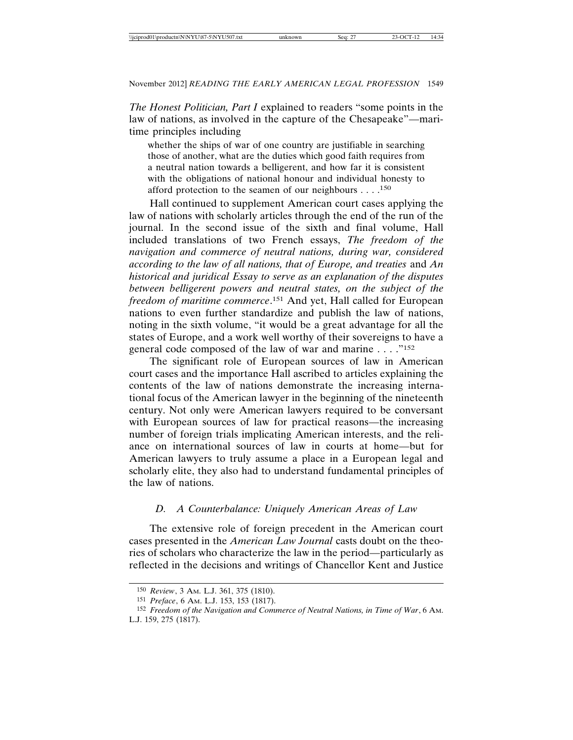*The Honest Politician, Part I* explained to readers "some points in the law of nations, as involved in the capture of the Chesapeake"—maritime principles including

whether the ships of war of one country are justifiable in searching those of another, what are the duties which good faith requires from a neutral nation towards a belligerent, and how far it is consistent with the obligations of national honour and individual honesty to afford protection to the seamen of our neighbours  $\dots$ .<sup>150</sup>

Hall continued to supplement American court cases applying the law of nations with scholarly articles through the end of the run of the journal. In the second issue of the sixth and final volume, Hall included translations of two French essays, *The freedom of the navigation and commerce of neutral nations, during war, considered according to the law of all nations, that of Europe, and treaties* and *An historical and juridical Essay to serve as an explanation of the disputes between belligerent powers and neutral states, on the subject of the freedom of maritime commerce*. 151 And yet, Hall called for European nations to even further standardize and publish the law of nations, noting in the sixth volume, "it would be a great advantage for all the states of Europe, and a work well worthy of their sovereigns to have a general code composed of the law of war and marine . . . ."152

The significant role of European sources of law in American court cases and the importance Hall ascribed to articles explaining the contents of the law of nations demonstrate the increasing international focus of the American lawyer in the beginning of the nineteenth century. Not only were American lawyers required to be conversant with European sources of law for practical reasons—the increasing number of foreign trials implicating American interests, and the reliance on international sources of law in courts at home—but for American lawyers to truly assume a place in a European legal and scholarly elite, they also had to understand fundamental principles of the law of nations.

### *D. A Counterbalance: Uniquely American Areas of Law*

The extensive role of foreign precedent in the American court cases presented in the *American Law Journal* casts doubt on the theories of scholars who characterize the law in the period—particularly as reflected in the decisions and writings of Chancellor Kent and Justice

<sup>150</sup> *Review*, 3 AM. L.J. 361, 375 (1810).

<sup>151</sup> *Preface*, 6 AM. L.J. 153, 153 (1817).

<sup>152</sup> *Freedom of the Navigation and Commerce of Neutral Nations, in Time of War*, 6 AM. L.J. 159, 275 (1817).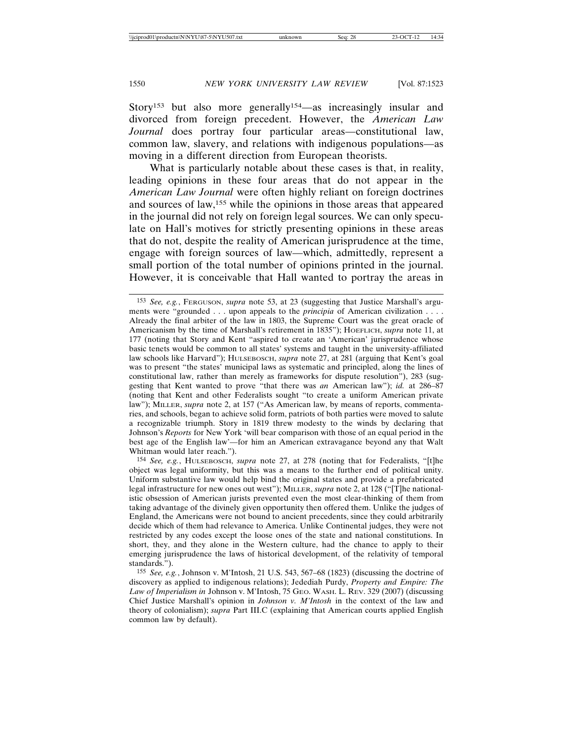Story<sup>153</sup> but also more generally<sup>154</sup>—as increasingly insular and divorced from foreign precedent. However, the *American Law Journal* does portray four particular areas—constitutional law, common law, slavery, and relations with indigenous populations—as moving in a different direction from European theorists.

What is particularly notable about these cases is that, in reality, leading opinions in these four areas that do not appear in the *American Law Journal* were often highly reliant on foreign doctrines and sources of law,155 while the opinions in those areas that appeared in the journal did not rely on foreign legal sources. We can only speculate on Hall's motives for strictly presenting opinions in these areas that do not, despite the reality of American jurisprudence at the time, engage with foreign sources of law—which, admittedly, represent a small portion of the total number of opinions printed in the journal. However, it is conceivable that Hall wanted to portray the areas in

154 *See, e.g.*, HULSEBOSCH, *supra* note 27, at 278 (noting that for Federalists, "[t]he object was legal uniformity, but this was a means to the further end of political unity. Uniform substantive law would help bind the original states and provide a prefabricated legal infrastructure for new ones out west"); MILLER, *supra* note 2, at 128 ("[T]he nationalistic obsession of American jurists prevented even the most clear-thinking of them from taking advantage of the divinely given opportunity then offered them. Unlike the judges of England, the Americans were not bound to ancient precedents, since they could arbitrarily decide which of them had relevance to America. Unlike Continental judges, they were not restricted by any codes except the loose ones of the state and national constitutions. In short, they, and they alone in the Western culture, had the chance to apply to their emerging jurisprudence the laws of historical development, of the relativity of temporal standards.").

155 *See, e.g.*, Johnson v. M'Intosh, 21 U.S. 543, 567–68 (1823) (discussing the doctrine of discovery as applied to indigenous relations); Jedediah Purdy, *Property and Empire: The Law of Imperialism in* Johnson v. M'Intosh, 75 GEO. WASH. L. REV. 329 (2007) (discussing Chief Justice Marshall's opinion in *Johnson v. M'Intosh* in the context of the law and theory of colonialism); *supra* Part III.C (explaining that American courts applied English common law by default).

<sup>153</sup> *See, e.g.*, FERGUSON, *supra* note 53, at 23 (suggesting that Justice Marshall's arguments were "grounded . . . upon appeals to the *principia* of American civilization . . . . Already the final arbiter of the law in 1803, the Supreme Court was the great oracle of Americanism by the time of Marshall's retirement in 1835"); HOEFLICH, *supra* note 11, at 177 (noting that Story and Kent "aspired to create an 'American' jurisprudence whose basic tenets would be common to all states' systems and taught in the university-affiliated law schools like Harvard"); HULSEBOSCH, *supra* note 27, at 281 (arguing that Kent's goal was to present "the states' municipal laws as systematic and principled, along the lines of constitutional law, rather than merely as frameworks for dispute resolution"), 283 (suggesting that Kent wanted to prove "that there was *an* American law"); *id.* at 286–87 (noting that Kent and other Federalists sought "to create a uniform American private law"); MILLER, *supra* note 2, at 157 ("As American law, by means of reports, commentaries, and schools, began to achieve solid form, patriots of both parties were moved to salute a recognizable triumph. Story in 1819 threw modesty to the winds by declaring that Johnson's *Reports* for New York 'will bear comparison with those of an equal period in the best age of the English law'—for him an American extravagance beyond any that Walt Whitman would later reach.").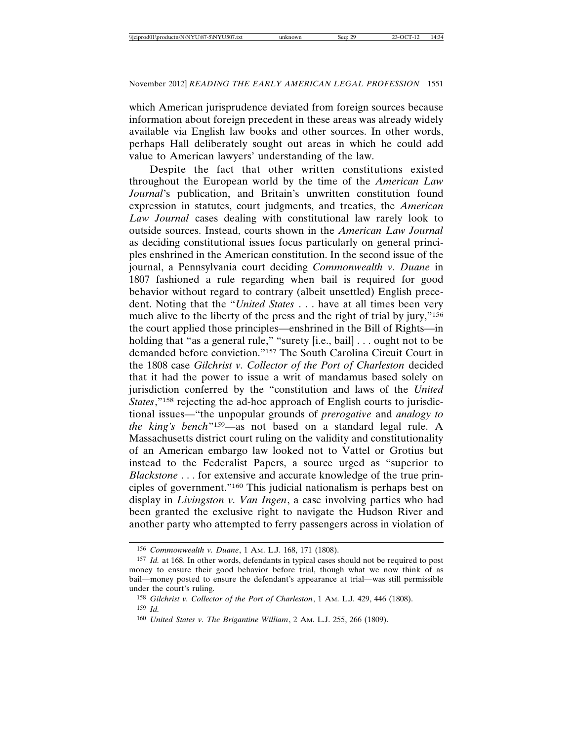which American jurisprudence deviated from foreign sources because information about foreign precedent in these areas was already widely available via English law books and other sources. In other words, perhaps Hall deliberately sought out areas in which he could add value to American lawyers' understanding of the law.

Despite the fact that other written constitutions existed throughout the European world by the time of the *American Law Journal*'s publication, and Britain's unwritten constitution found expression in statutes, court judgments, and treaties, the *American Law Journal* cases dealing with constitutional law rarely look to outside sources. Instead, courts shown in the *American Law Journal* as deciding constitutional issues focus particularly on general principles enshrined in the American constitution. In the second issue of the journal, a Pennsylvania court deciding *Commonwealth v. Duane* in 1807 fashioned a rule regarding when bail is required for good behavior without regard to contrary (albeit unsettled) English precedent. Noting that the "*United States* . . . have at all times been very much alive to the liberty of the press and the right of trial by jury,"<sup>156</sup> the court applied those principles—enshrined in the Bill of Rights—in holding that "as a general rule," "surety [i.e., bail] . . . ought not to be demanded before conviction."157 The South Carolina Circuit Court in the 1808 case *Gilchrist v. Collector of the Port of Charleston* decided that it had the power to issue a writ of mandamus based solely on jurisdiction conferred by the "constitution and laws of the *United States*,"<sup>158</sup> rejecting the ad-hoc approach of English courts to jurisdictional issues—"the unpopular grounds of *prerogative* and *analogy to the king's bench*"159—as not based on a standard legal rule. A Massachusetts district court ruling on the validity and constitutionality of an American embargo law looked not to Vattel or Grotius but instead to the Federalist Papers, a source urged as "superior to *Blackstone* . . . for extensive and accurate knowledge of the true principles of government."160 This judicial nationalism is perhaps best on display in *Livingston v. Van Ingen*, a case involving parties who had been granted the exclusive right to navigate the Hudson River and another party who attempted to ferry passengers across in violation of

<sup>156</sup> *Commonwealth v. Duane*, 1 AM. L.J. 168, 171 (1808).

<sup>157</sup> *Id.* at 168. In other words, defendants in typical cases should not be required to post money to ensure their good behavior before trial, though what we now think of as bail—money posted to ensure the defendant's appearance at trial—was still permissible under the court's ruling.

<sup>158</sup> *Gilchrist v. Collector of the Port of Charleston*, 1 AM. L.J. 429, 446 (1808). 159 *Id.*

<sup>160</sup> *United States v. The Brigantine William*, 2 AM. L.J. 255, 266 (1809).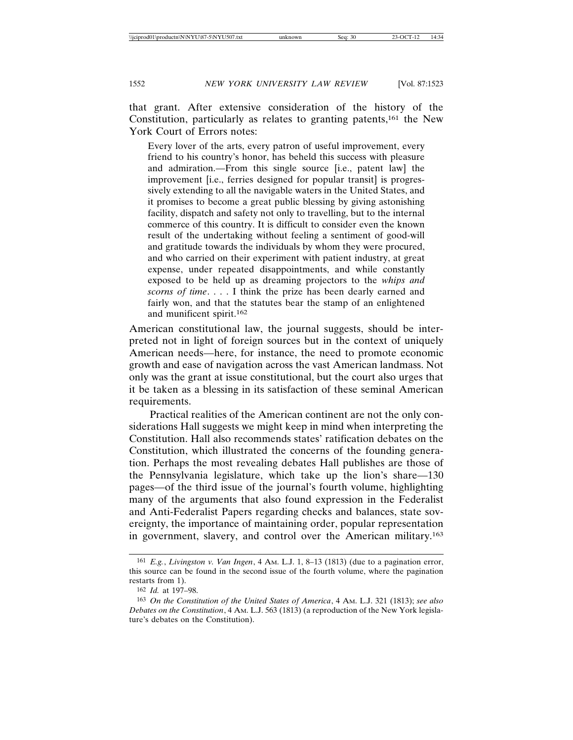that grant. After extensive consideration of the history of the Constitution, particularly as relates to granting patents,161 the New York Court of Errors notes:

Every lover of the arts, every patron of useful improvement, every friend to his country's honor, has beheld this success with pleasure and admiration.—From this single source [i.e., patent law] the improvement [i.e., ferries designed for popular transit] is progressively extending to all the navigable waters in the United States, and it promises to become a great public blessing by giving astonishing facility, dispatch and safety not only to travelling, but to the internal commerce of this country. It is difficult to consider even the known result of the undertaking without feeling a sentiment of good-will and gratitude towards the individuals by whom they were procured, and who carried on their experiment with patient industry, at great expense, under repeated disappointments, and while constantly exposed to be held up as dreaming projectors to the *whips and scorns of time*. . . . I think the prize has been dearly earned and fairly won, and that the statutes bear the stamp of an enlightened and munificent spirit.162

American constitutional law, the journal suggests, should be interpreted not in light of foreign sources but in the context of uniquely American needs—here, for instance, the need to promote economic growth and ease of navigation across the vast American landmass. Not only was the grant at issue constitutional, but the court also urges that it be taken as a blessing in its satisfaction of these seminal American requirements.

Practical realities of the American continent are not the only considerations Hall suggests we might keep in mind when interpreting the Constitution. Hall also recommends states' ratification debates on the Constitution, which illustrated the concerns of the founding generation. Perhaps the most revealing debates Hall publishes are those of the Pennsylvania legislature, which take up the lion's share—130 pages—of the third issue of the journal's fourth volume, highlighting many of the arguments that also found expression in the Federalist and Anti-Federalist Papers regarding checks and balances, state sovereignty, the importance of maintaining order, popular representation in government, slavery, and control over the American military.163

<sup>161</sup> *E.g.*, *Livingston v. Van Ingen*, 4 AM. L.J. 1, 8–13 (1813) (due to a pagination error, this source can be found in the second issue of the fourth volume, where the pagination restarts from 1).

<sup>162</sup> *Id.* at 197–98.

<sup>163</sup> *On the Constitution of the United States of America*, 4 AM. L.J. 321 (1813); *see also Debates on the Constitution*, 4 AM. L.J. 563 (1813) (a reproduction of the New York legislature's debates on the Constitution).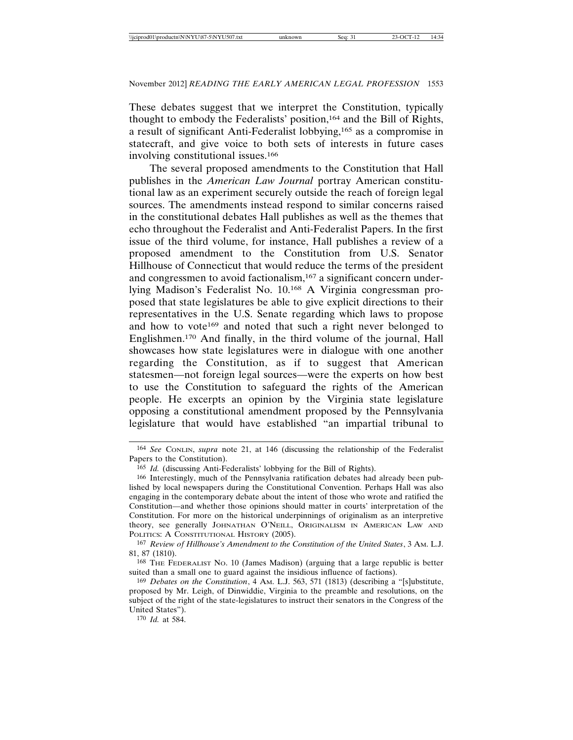These debates suggest that we interpret the Constitution, typically thought to embody the Federalists' position,164 and the Bill of Rights, a result of significant Anti-Federalist lobbying,165 as a compromise in statecraft, and give voice to both sets of interests in future cases involving constitutional issues.166

The several proposed amendments to the Constitution that Hall publishes in the *American Law Journal* portray American constitutional law as an experiment securely outside the reach of foreign legal sources. The amendments instead respond to similar concerns raised in the constitutional debates Hall publishes as well as the themes that echo throughout the Federalist and Anti-Federalist Papers. In the first issue of the third volume, for instance, Hall publishes a review of a proposed amendment to the Constitution from U.S. Senator Hillhouse of Connecticut that would reduce the terms of the president and congressmen to avoid factionalism,167 a significant concern underlying Madison's Federalist No. 10.168 A Virginia congressman proposed that state legislatures be able to give explicit directions to their representatives in the U.S. Senate regarding which laws to propose and how to vote<sup>169</sup> and noted that such a right never belonged to Englishmen.170 And finally, in the third volume of the journal, Hall showcases how state legislatures were in dialogue with one another regarding the Constitution, as if to suggest that American statesmen—not foreign legal sources—were the experts on how best to use the Constitution to safeguard the rights of the American people. He excerpts an opinion by the Virginia state legislature opposing a constitutional amendment proposed by the Pennsylvania legislature that would have established "an impartial tribunal to

170 *Id.* at 584.

<sup>164</sup> *See* CONLIN, *supra* note 21, at 146 (discussing the relationship of the Federalist Papers to the Constitution).

<sup>165</sup> *Id.* (discussing Anti-Federalists' lobbying for the Bill of Rights).

<sup>166</sup> Interestingly, much of the Pennsylvania ratification debates had already been published by local newspapers during the Constitutional Convention. Perhaps Hall was also engaging in the contemporary debate about the intent of those who wrote and ratified the Constitution—and whether those opinions should matter in courts' interpretation of the Constitution. For more on the historical underpinnings of originalism as an interpretive theory, see generally JOHNATHAN O'NEILL, ORIGINALISM IN AMERICAN LAW AND POLITICS: A CONSTITUTIONAL HISTORY (2005).

<sup>167</sup> *Review of Hillhouse's Amendment to the Constitution of the United States*, 3 AM. L.J. 81, 87 (1810).

<sup>168</sup> THE FEDERALIST NO. 10 (James Madison) (arguing that a large republic is better suited than a small one to guard against the insidious influence of factions).

<sup>169</sup> *Debates on the Constitution*, 4 AM. L.J. 563, 571 (1813) (describing a "[s]ubstitute, proposed by Mr. Leigh, of Dinwiddie, Virginia to the preamble and resolutions, on the subject of the right of the state-legislatures to instruct their senators in the Congress of the United States").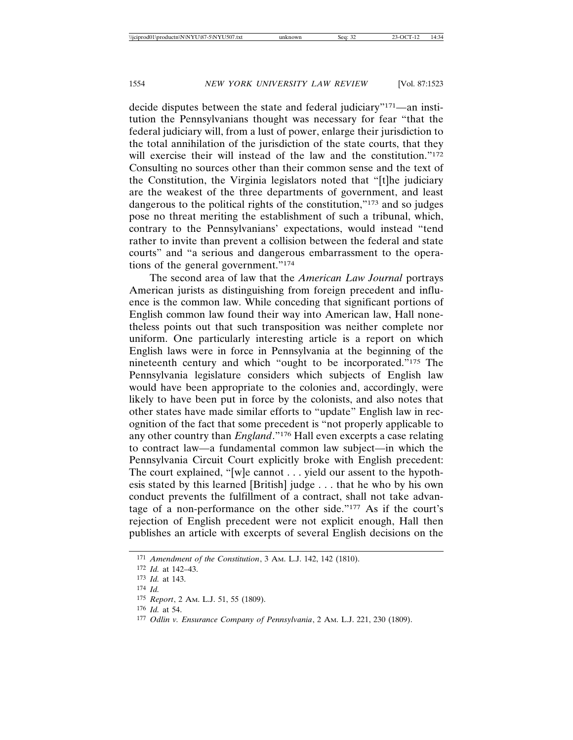decide disputes between the state and federal judiciary"171—an institution the Pennsylvanians thought was necessary for fear "that the federal judiciary will, from a lust of power, enlarge their jurisdiction to the total annihilation of the jurisdiction of the state courts, that they will exercise their will instead of the law and the constitution."<sup>172</sup> Consulting no sources other than their common sense and the text of the Constitution, the Virginia legislators noted that "[t]he judiciary are the weakest of the three departments of government, and least dangerous to the political rights of the constitution,"173 and so judges pose no threat meriting the establishment of such a tribunal, which, contrary to the Pennsylvanians' expectations, would instead "tend rather to invite than prevent a collision between the federal and state courts" and "a serious and dangerous embarrassment to the operations of the general government."174

The second area of law that the *American Law Journal* portrays American jurists as distinguishing from foreign precedent and influence is the common law. While conceding that significant portions of English common law found their way into American law, Hall nonetheless points out that such transposition was neither complete nor uniform. One particularly interesting article is a report on which English laws were in force in Pennsylvania at the beginning of the nineteenth century and which "ought to be incorporated."175 The Pennsylvania legislature considers which subjects of English law would have been appropriate to the colonies and, accordingly, were likely to have been put in force by the colonists, and also notes that other states have made similar efforts to "update" English law in recognition of the fact that some precedent is "not properly applicable to any other country than *England*."176 Hall even excerpts a case relating to contract law—a fundamental common law subject—in which the Pennsylvania Circuit Court explicitly broke with English precedent: The court explained, "[w]e cannot . . . yield our assent to the hypothesis stated by this learned [British] judge . . . that he who by his own conduct prevents the fulfillment of a contract, shall not take advantage of a non-performance on the other side."177 As if the court's rejection of English precedent were not explicit enough, Hall then publishes an article with excerpts of several English decisions on the

<sup>171</sup> *Amendment of the Constitution*, 3 AM. L.J. 142, 142 (1810).

<sup>172</sup> *Id.* at 142–43.

<sup>173</sup> *Id.* at 143.

<sup>174</sup> *Id.*

<sup>175</sup> *Report*, 2 AM. L.J. 51, 55 (1809).

<sup>176</sup> *Id.* at 54.

<sup>177</sup> *Odlin v. Ensurance Company of Pennsylvania*, 2 AM. L.J. 221, 230 (1809).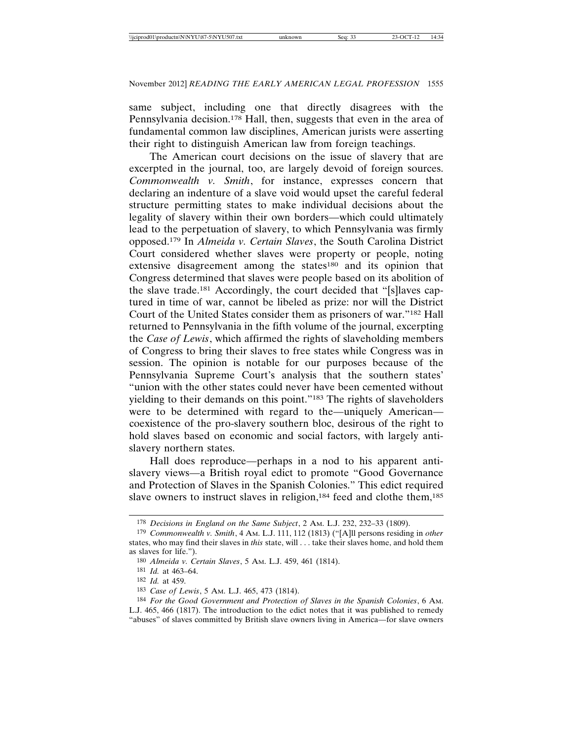same subject, including one that directly disagrees with the Pennsylvania decision.<sup>178</sup> Hall, then, suggests that even in the area of fundamental common law disciplines, American jurists were asserting their right to distinguish American law from foreign teachings.

The American court decisions on the issue of slavery that are excerpted in the journal, too, are largely devoid of foreign sources. *Commonwealth v. Smith*, for instance, expresses concern that declaring an indenture of a slave void would upset the careful federal structure permitting states to make individual decisions about the legality of slavery within their own borders—which could ultimately lead to the perpetuation of slavery, to which Pennsylvania was firmly opposed.179 In *Almeida v. Certain Slaves*, the South Carolina District Court considered whether slaves were property or people, noting extensive disagreement among the states<sup>180</sup> and its opinion that Congress determined that slaves were people based on its abolition of the slave trade.181 Accordingly, the court decided that "[s]laves captured in time of war, cannot be libeled as prize: nor will the District Court of the United States consider them as prisoners of war."182 Hall returned to Pennsylvania in the fifth volume of the journal, excerpting the *Case of Lewis*, which affirmed the rights of slaveholding members of Congress to bring their slaves to free states while Congress was in session. The opinion is notable for our purposes because of the Pennsylvania Supreme Court's analysis that the southern states' "union with the other states could never have been cemented without yielding to their demands on this point."183 The rights of slaveholders were to be determined with regard to the—uniquely American coexistence of the pro-slavery southern bloc, desirous of the right to hold slaves based on economic and social factors, with largely antislavery northern states.

Hall does reproduce—perhaps in a nod to his apparent antislavery views—a British royal edict to promote "Good Governance and Protection of Slaves in the Spanish Colonies." This edict required slave owners to instruct slaves in religion,<sup>184</sup> feed and clothe them,<sup>185</sup>

<sup>178</sup> *Decisions in England on the Same Subject*, 2 AM. L.J. 232, 232–33 (1809).

<sup>179</sup> *Commonwealth v. Smith*, 4 AM. L.J. 111, 112 (1813) ("[A]ll persons residing in *other* states, who may find their slaves in *this* state, will . . . take their slaves home, and hold them as slaves for life.").

<sup>180</sup> *Almeida v. Certain Slaves*, 5 AM. L.J. 459, 461 (1814).

<sup>181</sup> *Id.* at 463–64.

<sup>182</sup> *Id.* at 459.

<sup>183</sup> *Case of Lewis*, 5 AM. L.J. 465, 473 (1814).

<sup>184</sup> *For the Good Government and Protection of Slaves in the Spanish Colonies*, 6 AM. L.J. 465, 466 (1817). The introduction to the edict notes that it was published to remedy "abuses" of slaves committed by British slave owners living in America—for slave owners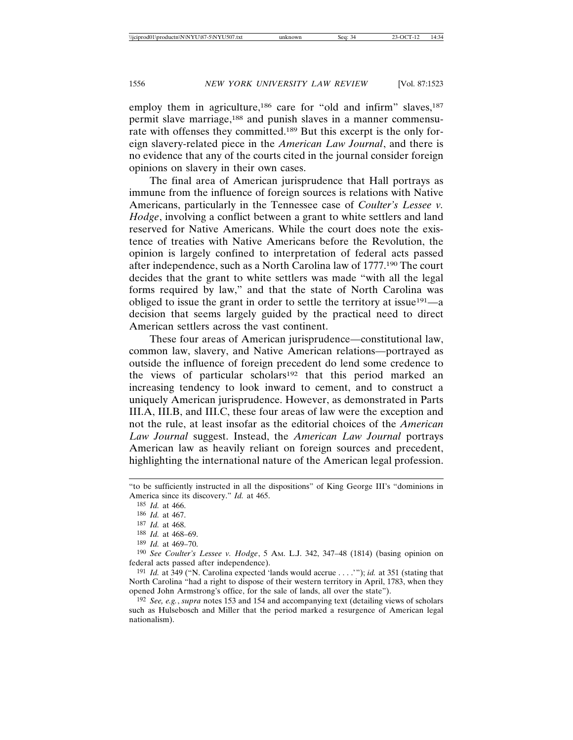employ them in agriculture,<sup>186</sup> care for "old and infirm" slaves,<sup>187</sup> permit slave marriage,188 and punish slaves in a manner commensurate with offenses they committed.189 But this excerpt is the only foreign slavery-related piece in the *American Law Journal*, and there is no evidence that any of the courts cited in the journal consider foreign opinions on slavery in their own cases.

The final area of American jurisprudence that Hall portrays as immune from the influence of foreign sources is relations with Native Americans, particularly in the Tennessee case of *Coulter's Lessee v. Hodge*, involving a conflict between a grant to white settlers and land reserved for Native Americans. While the court does note the existence of treaties with Native Americans before the Revolution, the opinion is largely confined to interpretation of federal acts passed after independence, such as a North Carolina law of 1777.190 The court decides that the grant to white settlers was made "with all the legal forms required by law," and that the state of North Carolina was obliged to issue the grant in order to settle the territory at issue191—a decision that seems largely guided by the practical need to direct American settlers across the vast continent.

These four areas of American jurisprudence—constitutional law, common law, slavery, and Native American relations—portrayed as outside the influence of foreign precedent do lend some credence to the views of particular scholars<sup>192</sup> that this period marked an increasing tendency to look inward to cement, and to construct a uniquely American jurisprudence. However, as demonstrated in Parts III.A, III.B, and III.C, these four areas of law were the exception and not the rule, at least insofar as the editorial choices of the *American Law Journal* suggest. Instead, the *American Law Journal* portrays American law as heavily reliant on foreign sources and precedent, highlighting the international nature of the American legal profession.

<sup>&</sup>quot;to be sufficiently instructed in all the dispositions" of King George III's "dominions in America since its discovery." *Id.* at 465.

<sup>185</sup> *Id.* at 466.

<sup>186</sup> *Id.* at 467.

<sup>187</sup> *Id.* at 468.

<sup>188</sup> *Id.* at 468–69.

<sup>189</sup> *Id.* at 469–70.

<sup>190</sup> *See Coulter's Lessee v. Hodge*, 5 AM. L.J. 342, 347–48 (1814) (basing opinion on federal acts passed after independence).

<sup>191</sup> *Id.* at 349 ("N. Carolina expected 'lands would accrue . . . .'"); *id.* at 351 (stating that North Carolina "had a right to dispose of their western territory in April, 1783, when they opened John Armstrong's office, for the sale of lands, all over the state").

<sup>192</sup> *See, e.g.*, *supra* notes 153 and 154 and accompanying text (detailing views of scholars such as Hulsebosch and Miller that the period marked a resurgence of American legal nationalism).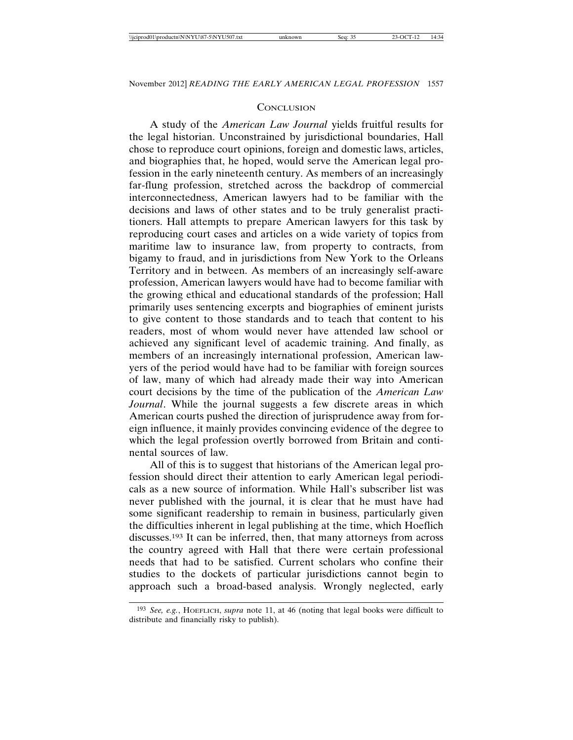#### **CONCLUSION**

A study of the *American Law Journal* yields fruitful results for the legal historian. Unconstrained by jurisdictional boundaries, Hall chose to reproduce court opinions, foreign and domestic laws, articles, and biographies that, he hoped, would serve the American legal profession in the early nineteenth century. As members of an increasingly far-flung profession, stretched across the backdrop of commercial interconnectedness, American lawyers had to be familiar with the decisions and laws of other states and to be truly generalist practitioners. Hall attempts to prepare American lawyers for this task by reproducing court cases and articles on a wide variety of topics from maritime law to insurance law, from property to contracts, from bigamy to fraud, and in jurisdictions from New York to the Orleans Territory and in between. As members of an increasingly self-aware profession, American lawyers would have had to become familiar with the growing ethical and educational standards of the profession; Hall primarily uses sentencing excerpts and biographies of eminent jurists to give content to those standards and to teach that content to his readers, most of whom would never have attended law school or achieved any significant level of academic training. And finally, as members of an increasingly international profession, American lawyers of the period would have had to be familiar with foreign sources of law, many of which had already made their way into American court decisions by the time of the publication of the *American Law Journal*. While the journal suggests a few discrete areas in which American courts pushed the direction of jurisprudence away from foreign influence, it mainly provides convincing evidence of the degree to which the legal profession overtly borrowed from Britain and continental sources of law.

All of this is to suggest that historians of the American legal profession should direct their attention to early American legal periodicals as a new source of information. While Hall's subscriber list was never published with the journal, it is clear that he must have had some significant readership to remain in business, particularly given the difficulties inherent in legal publishing at the time, which Hoeflich discusses.193 It can be inferred, then, that many attorneys from across the country agreed with Hall that there were certain professional needs that had to be satisfied. Current scholars who confine their studies to the dockets of particular jurisdictions cannot begin to approach such a broad-based analysis. Wrongly neglected, early

<sup>193</sup> *See, e.g.*, HOEFLICH, *supra* note 11, at 46 (noting that legal books were difficult to distribute and financially risky to publish).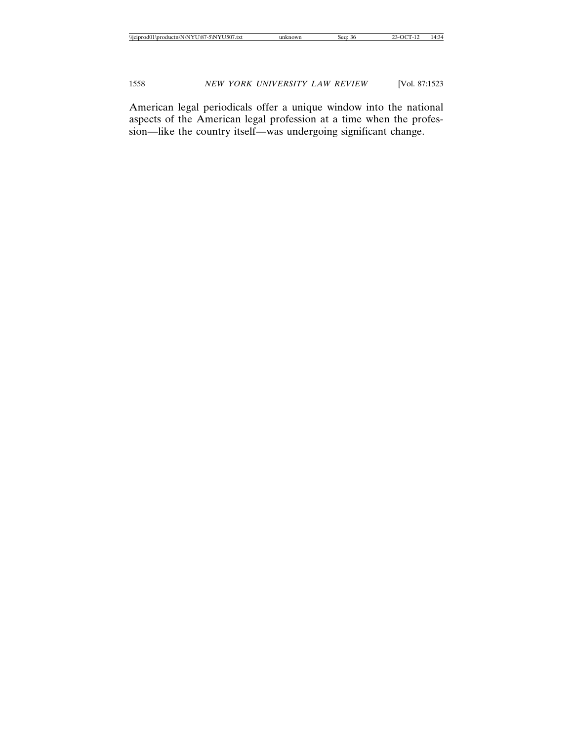American legal periodicals offer a unique window into the national aspects of the American legal profession at a time when the profession—like the country itself—was undergoing significant change.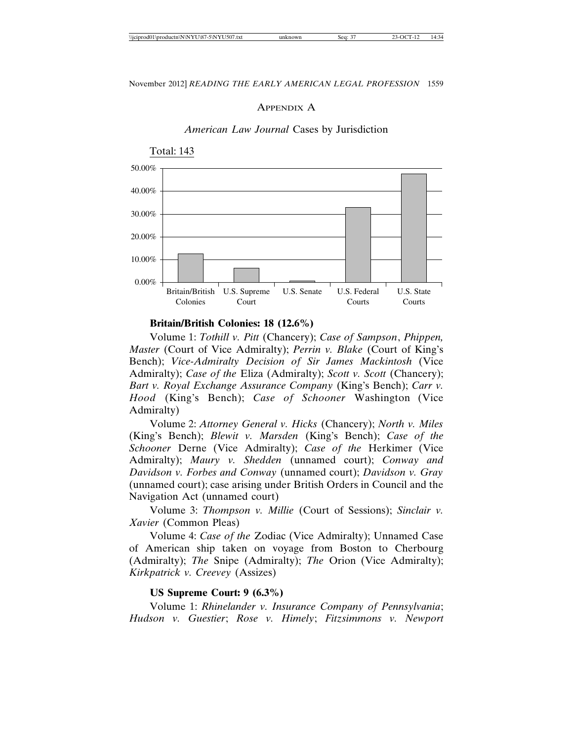#### APPENDIX A



#### *American Law Journal* Cases by Jurisdiction

**Britain/British Colonies: 18 (12.6%)**

Volume 1: *Tothill v. Pitt* (Chancery); *Case of Sampson*, *Phippen, Master* (Court of Vice Admiralty); *Perrin v. Blake* (Court of King's Bench); *Vice-Admiralty Decision of Sir James Mackintosh* (Vice Admiralty); *Case of the* Eliza (Admiralty); *Scott v. Scott* (Chancery); *Bart v. Royal Exchange Assurance Company* (King's Bench); *Carr v. Hood* (King's Bench); *Case of Schooner* Washington (Vice Admiralty)

Volume 2: *Attorney General v. Hicks* (Chancery); *North v. Miles* (King's Bench); *Blewit v. Marsden* (King's Bench); *Case of the Schooner* Derne (Vice Admiralty); *Case of the* Herkimer (Vice Admiralty); *Maury v. Shedden* (unnamed court); *Conway and Davidson v. Forbes and Conway* (unnamed court); *Davidson v. Gray* (unnamed court); case arising under British Orders in Council and the Navigation Act (unnamed court)

Volume 3: *Thompson v. Millie* (Court of Sessions); *Sinclair v. Xavier* (Common Pleas)

Volume 4: *Case of the* Zodiac (Vice Admiralty); Unnamed Case of American ship taken on voyage from Boston to Cherbourg (Admiralty); *The* Snipe (Admiralty); *The* Orion (Vice Admiralty); *Kirkpatrick v. Creevey* (Assizes)

#### **US Supreme Court: 9 (6.3%)**

Volume 1: *Rhinelander v. Insurance Company of Pennsylvania*; *Hudson v. Guestier*; *Rose v. Himely*; *Fitzsimmons v. Newport*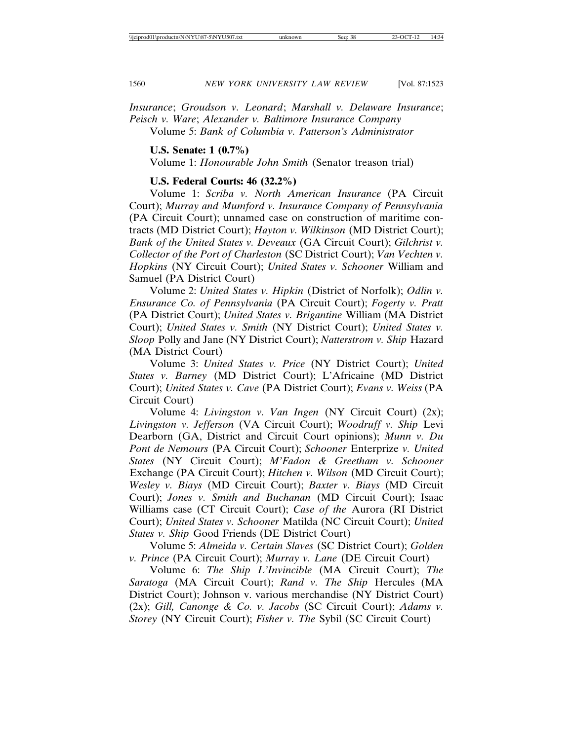*Insurance*; *Groudson v. Leonard*; *Marshall v. Delaware Insurance*; *Peisch v. Ware*; *Alexander v. Baltimore Insurance Company* Volume 5: *Bank of Columbia v. Patterson's Administrator*

**U.S. Senate: 1 (0.7%)**

Volume 1: *Honourable John Smith* (Senator treason trial)

### **U.S. Federal Courts: 46 (32.2%)**

Volume 1: *Scriba v. North American Insurance* (PA Circuit Court); *Murray and Mumford v. Insurance Company of Pennsylvania* (PA Circuit Court); unnamed case on construction of maritime contracts (MD District Court); *Hayton v. Wilkinson* (MD District Court); *Bank of the United States v. Deveaux* (GA Circuit Court); *Gilchrist v. Collector of the Port of Charleston* (SC District Court); *Van Vechten v. Hopkins* (NY Circuit Court); *United States v. Schooner* William and Samuel (PA District Court)

Volume 2: *United States v. Hipkin* (District of Norfolk); *Odlin v. Ensurance Co. of Pennsylvania* (PA Circuit Court); *Fogerty v. Pratt* (PA District Court); *United States v. Brigantine* William (MA District Court); *United States v. Smith* (NY District Court); *United States v. Sloop* Polly and Jane (NY District Court); *Natterstrom v. Ship* Hazard (MA District Court)

Volume 3: *United States v. Price* (NY District Court); *United States v. Barney* (MD District Court); L'Africaine (MD District Court); *United States v. Cave* (PA District Court); *Evans v. Weiss* (PA Circuit Court)

Volume 4: *Livingston v. Van Ingen* (NY Circuit Court) (2x); *Livingston v. Jefferson* (VA Circuit Court); *Woodruff v. Ship* Levi Dearborn (GA, District and Circuit Court opinions); *Munn v. Du Pont de Nemours* (PA Circuit Court); *Schooner* Enterprize *v. United States* (NY Circuit Court); *M'Fadon & Greetham v. Schooner* Exchange (PA Circuit Court); *Hitchen v. Wilson* (MD Circuit Court); *Wesley v. Biays* (MD Circuit Court); *Baxter v. Biays* (MD Circuit Court); *Jones v. Smith and Buchanan* (MD Circuit Court); Isaac Williams case (CT Circuit Court); *Case of the* Aurora (RI District Court); *United States v. Schooner* Matilda (NC Circuit Court); *United States v. Ship* Good Friends (DE District Court)

Volume 5: *Almeida v. Certain Slaves* (SC District Court); *Golden v. Prince* (PA Circuit Court); *Murray v. Lane* (DE Circuit Court)

Volume 6: *The Ship L'Invincible* (MA Circuit Court); *The Saratoga* (MA Circuit Court); *Rand v. The Ship* Hercules (MA District Court); Johnson v. various merchandise (NY District Court) (2x); *Gill, Canonge & Co. v. Jacobs* (SC Circuit Court); *Adams v. Storey* (NY Circuit Court); *Fisher v. The* Sybil (SC Circuit Court)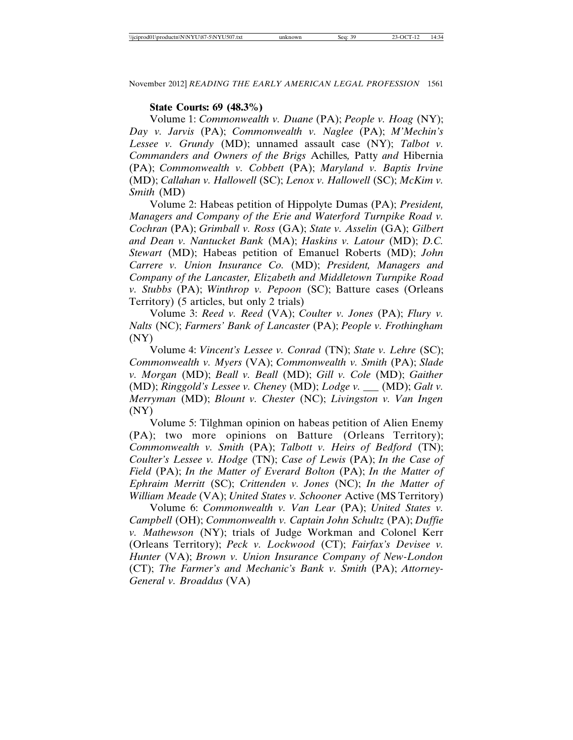#### **State Courts: 69 (48.3%)**

Volume 1: *Commonwealth v. Duane* (PA); *People v. Hoag* (NY); *Day v. Jarvis* (PA); *Commonwealth v. Naglee* (PA); *M'Mechin's Lessee v. Grundy* (MD); unnamed assault case (NY); *Talbot v. Commanders and Owners of the Brigs* Achilles*,* Patty *and* Hibernia (PA); *Commonwealth v. Cobbett* (PA); *Maryland v. Baptis Irvine* (MD); *Callahan v. Hallowell* (SC); *Lenox v. Hallowell* (SC); *McKim v. Smith* (MD)

Volume 2: Habeas petition of Hippolyte Dumas (PA); *President, Managers and Company of the Erie and Waterford Turnpike Road v. Cochran* (PA); *Grimball v. Ross* (GA); *State v. Asselin* (GA); *Gilbert and Dean v. Nantucket Bank* (MA); *Haskins v. Latour* (MD); *D.C. Stewart* (MD); Habeas petition of Emanuel Roberts (MD); *John Carrere v. Union Insurance Co.* (MD); *President, Managers and Company of the Lancaster, Elizabeth and Middletown Turnpike Road v. Stubbs* (PA); *Winthrop v. Pepoon* (SC); Batture cases (Orleans Territory) (5 articles, but only 2 trials)

Volume 3: *Reed v. Reed* (VA); *Coulter v. Jones* (PA); *Flury v. Nalts* (NC); *Farmers' Bank of Lancaster* (PA); *People v. Frothingham* (NY)

Volume 4: *Vincent's Lessee v. Conrad* (TN); *State v. Lehre* (SC); *Commonwealth v. Myers* (VA); *Commonwealth v. Smith* (PA); *Slade v. Morgan* (MD); *Beall v. Beall* (MD); *Gill v. Cole* (MD); *Gaither* (MD); *Ringgold's Lessee v. Cheney* (MD); *Lodge v. \_\_\_* (MD); *Galt v. Merryman* (MD); *Blount v. Chester* (NC); *Livingston v. Van Ingen* (NY)

Volume 5: Tilghman opinion on habeas petition of Alien Enemy (PA); two more opinions on Batture (Orleans Territory); *Commonwealth v. Smith* (PA); *Talbott v. Heirs of Bedford* (TN); *Coulter's Lessee v. Hodge* (TN); *Case of Lewis* (PA); *In the Case of Field* (PA); *In the Matter of Everard Bolton* (PA); *In the Matter of Ephraim Merritt* (SC); *Crittenden v. Jones* (NC); *In the Matter of William Meade* (VA); *United States v. Schooner* Active (MS Territory)

Volume 6: *Commonwealth v. Van Lear* (PA); *United States v. Campbell* (OH); *Commonwealth v. Captain John Schultz* (PA); *Duffie v. Mathewson* (NY); trials of Judge Workman and Colonel Kerr (Orleans Territory); *Peck v. Lockwood* (CT); *Fairfax's Devisee v. Hunter* (VA); *Brown v. Union Insurance Company of New-London* (CT); *The Farmer's and Mechanic's Bank v. Smith* (PA); *Attorney-General v. Broaddus* (VA)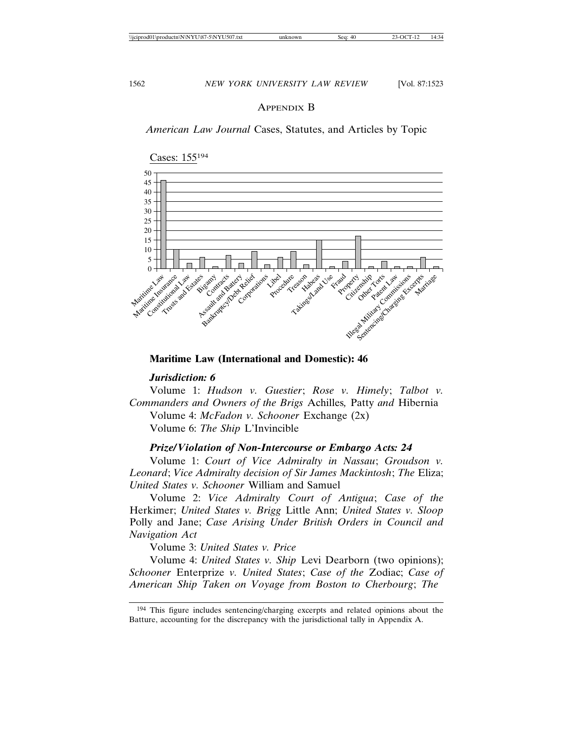#### APPENDIX B

*American Law Journal* Cases, Statutes, and Articles by Topic



## **Maritime Law (International and Domestic): 46**

#### *Jurisdiction: 6*

Volume 1: *Hudson v. Guestier*; *Rose v. Himely*; *Talbot v. Commanders and Owners of the Brigs* Achilles*,* Patty *and* Hibernia Volume 4: *McFadon v. Schooner* Exchange (2x) Volume 6: *The Ship* L'Invincible

#### *Prize/Violation of Non-Intercourse or Embargo Acts: 24*

Volume 1: *Court of Vice Admiralty in Nassau*; *Groudson v. Leonard*; *Vice Admiralty decision of Sir James Mackintosh*; *The* Eliza; *United States v. Schooner* William and Samuel

Volume 2: *Vice Admiralty Court of Antigua*; *Case of the* Herkimer; *United States v. Brigg* Little Ann; *United States v. Sloop* Polly and Jane; *Case Arising Under British Orders in Council and Navigation Act*

Volume 3: *United States v. Price*

Volume 4: *United States v. Ship* Levi Dearborn (two opinions); *Schooner* Enterprize *v. United States*; *Case of the* Zodiac; *Case of American Ship Taken on Voyage from Boston to Cherbourg*; *The* 

<sup>194</sup> This figure includes sentencing/charging excerpts and related opinions about the Batture, accounting for the discrepancy with the jurisdictional tally in Appendix A.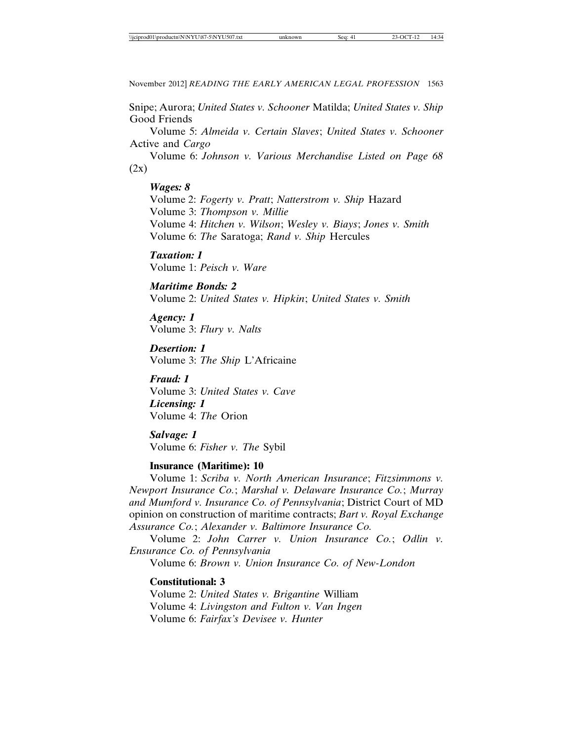Snipe; Aurora; *United States v. Schooner* Matilda; *United States v. Ship* Good Friends

Volume 5: *Almeida v. Certain Slaves*; *United States v. Schooner* Active and *Cargo*

Volume 6: *Johnson v. Various Merchandise Listed on Page 68*  $(2x)$ 

#### *Wages: 8*

Volume 2: *Fogerty v. Pratt*; *Natterstrom v. Ship* Hazard Volume 3: *Thompson v. Millie* Volume 4: *Hitchen v. Wilson*; *Wesley v. Biays*; *Jones v. Smith* Volume 6: *The* Saratoga; *Rand v. Ship* Hercules

*Taxation: 1* Volume 1: *Peisch v. Ware*

*Maritime Bonds: 2* Volume 2: *United States v. Hipkin*; *United States v. Smith*

*Agency: 1* Volume 3: *Flury v. Nalts*

*Desertion: 1* Volume 3: *The Ship* L'Africaine

*Fraud: 1* Volume 3: *United States v. Cave Licensing: 1* Volume 4: *The* Orion

*Salvage: 1* Volume 6: *Fisher v. The* Sybil

### **Insurance (Maritime): 10**

Volume 1: *Scriba v. North American Insurance*; *Fitzsimmons v. Newport Insurance Co.*; *Marshal v. Delaware Insurance Co.*; *Murray and Mumford v. Insurance Co. of Pennsylvania*; District Court of MD opinion on construction of maritime contracts; *Bart v. Royal Exchange Assurance Co.*; *Alexander v. Baltimore Insurance Co.*

Volume 2: *John Carrer v. Union Insurance Co.*; *Odlin v. Ensurance Co. of Pennsylvania*

Volume 6: *Brown v. Union Insurance Co. of New-London*

#### **Constitutional: 3**

Volume 2: *United States v. Brigantine* William Volume 4: *Livingston and Fulton v. Van Ingen* Volume 6: *Fairfax's Devisee v. Hunter*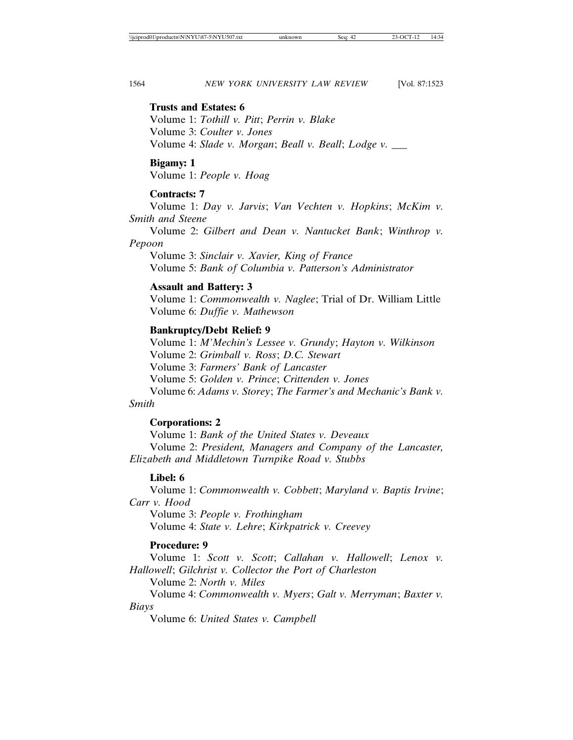#### **Trusts and Estates: 6**

Volume 1: *Tothill v. Pitt*; *Perrin v. Blake* Volume 3: *Coulter v. Jones* Volume 4: *Slade v. Morgan*; *Beall v. Beall*; *Lodge v. \_\_\_*

#### **Bigamy: 1**

Volume 1: *People v. Hoag*

### **Contracts: 7**

Volume 1: *Day v. Jarvis*; *Van Vechten v. Hopkins*; *McKim v. Smith and Steene*

Volume 2: *Gilbert and Dean v. Nantucket Bank*; *Winthrop v. Pepoon*

Volume 3: *Sinclair v. Xavier, King of France* Volume 5: *Bank of Columbia v. Patterson's Administrator*

### **Assault and Battery: 3**

Volume 1: *Commonwealth v. Naglee*; Trial of Dr. William Little Volume 6: *Duffie v. Mathewson*

### **Bankruptcy/Debt Relief: 9**

Volume 1: *M'Mechin's Lessee v. Grundy*; *Hayton v. Wilkinson* Volume 2: *Grimball v. Ross*; *D.C. Stewart* Volume 3: *Farmers' Bank of Lancaster* Volume 5: *Golden v. Prince*; *Crittenden v. Jones* Volume 6: *Adams v. Storey*; *The Farmer's and Mechanic's Bank v.*

### *Smith*

### **Corporations: 2**

Volume 1: *Bank of the United States v. Deveaux* Volume 2: *President, Managers and Company of the Lancaster, Elizabeth and Middletown Turnpike Road v. Stubbs*

### **Libel: 6**

Volume 1: *Commonwealth v. Cobbett*; *Maryland v. Baptis Irvine*; *Carr v. Hood*

Volume 3: *People v. Frothingham* Volume 4: *State v. Lehre*; *Kirkpatrick v. Creevey*

### **Procedure: 9**

Volume 1: *Scott v. Scott*; *Callahan v. Hallowell*; *Lenox v. Hallowell*; *Gilchrist v. Collector the Port of Charleston*

Volume 2: *North v. Miles*

Volume 4: *Commonwealth v. Myers*; *Galt v. Merryman*; *Baxter v. Biays*

Volume 6: *United States v. Campbell*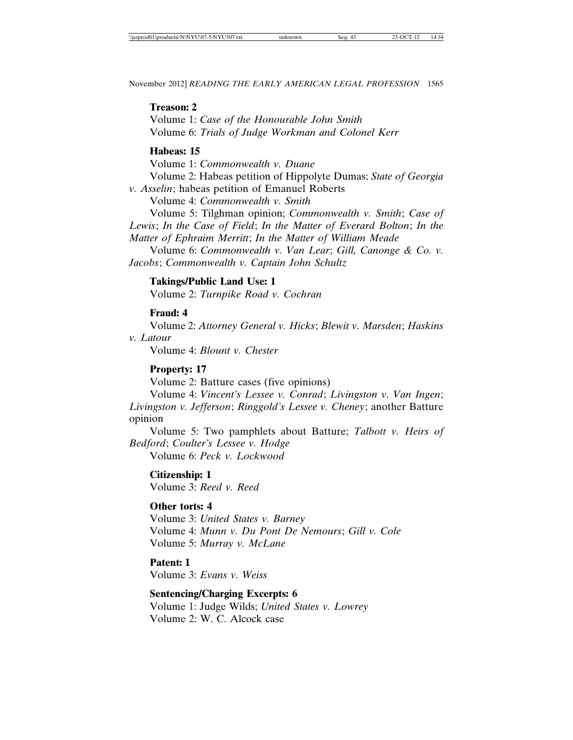#### **Treason: 2**

Volume 1: *Case of the Honourable John Smith* Volume 6: *Trials of Judge Workman and Colonel Kerr*

### **Habeas: 15**

Volume 1: *Commonwealth v. Duane* Volume 2: Habeas petition of Hippolyte Dumas; *State of Georgia v. Asselin*; habeas petition of Emanuel Roberts

Volume 4: *Commonwealth v. Smith*

Volume 5: Tilghman opinion; *Commonwealth v. Smith*; *Case of Lewis*; *In the Case of Field*; *In the Matter of Everard Bolton*; *In the Matter of Ephraim Merritt*; *In the Matter of William Meade*

Volume 6: *Commonwealth v. Van Lear*; *Gill, Canonge & Co. v. Jacobs*; *Commonwealth v. Captain John Schultz*

### **Takings/Public Land Use: 1**

Volume 2: *Turnpike Road v. Cochran*

### **Fraud: 4**

Volume 2: *Attorney General v. Hicks*; *Blewit v. Marsden*; *Haskins v. Latour*

Volume 4: *Blount v. Chester*

### **Property: 17**

Volume 2: Batture cases (five opinions)

Volume 4: *Vincent's Lessee v. Conrad*; *Livingston v. Van Ingen*; *Livingston v. Jefferson*; *Ringgold's Lessee v. Cheney*; another Batture opinion

Volume 5: Two pamphlets about Batture; *Talbott v. Heirs of Bedford*; *Coulter's Lessee v. Hodge*

Volume 6: *Peck v. Lockwood*

**Citizenship: 1** Volume 3: *Reed v. Reed*

### **Other torts: 4**

Volume 3: *United States v. Barney* Volume 4: *Munn v. Du Pont De Nemours*; *Gill v. Cole* Volume 5: *Murray v. McLane*

**Patent: 1** Volume 3: *Evans v. Weiss*

# **Sentencing/Charging Excerpts: 6**

Volume 1: Judge Wilds; *United States v. Lowrey* Volume 2: W. C. Alcock case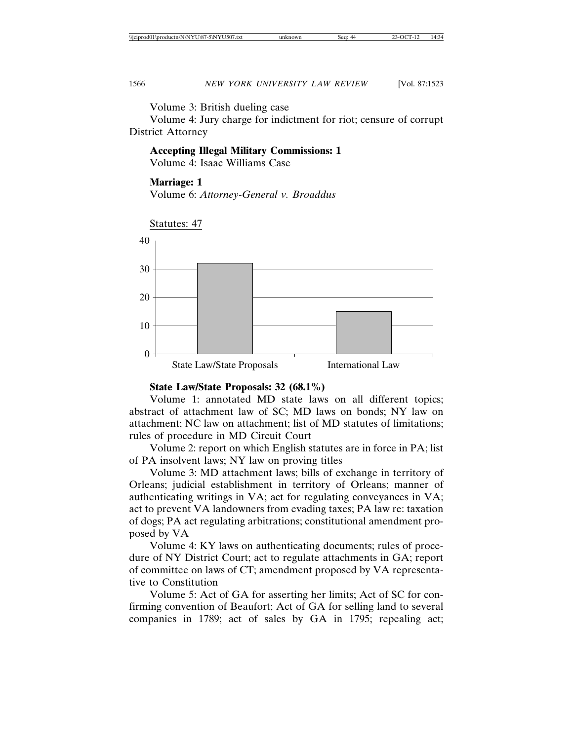Volume 3: British dueling case

Volume 4: Jury charge for indictment for riot; censure of corrupt District Attorney

#### **Accepting Illegal Military Commissions: 1**

Volume 4: Isaac Williams Case

#### **Marriage: 1**

Volume 6: *Attorney-General v. Broaddus*



#### **State Law/State Proposals: 32 (68.1%)**

Volume 1: annotated MD state laws on all different topics; abstract of attachment law of SC; MD laws on bonds; NY law on attachment; NC law on attachment; list of MD statutes of limitations; rules of procedure in MD Circuit Court

Volume 2: report on which English statutes are in force in PA; list of PA insolvent laws; NY law on proving titles

Volume 3: MD attachment laws; bills of exchange in territory of Orleans; judicial establishment in territory of Orleans; manner of authenticating writings in VA; act for regulating conveyances in VA; act to prevent VA landowners from evading taxes; PA law re: taxation of dogs; PA act regulating arbitrations; constitutional amendment proposed by VA

Volume 4: KY laws on authenticating documents; rules of procedure of NY District Court; act to regulate attachments in GA; report of committee on laws of CT; amendment proposed by VA representative to Constitution

Volume 5: Act of GA for asserting her limits; Act of SC for confirming convention of Beaufort; Act of GA for selling land to several companies in 1789; act of sales by GA in 1795; repealing act;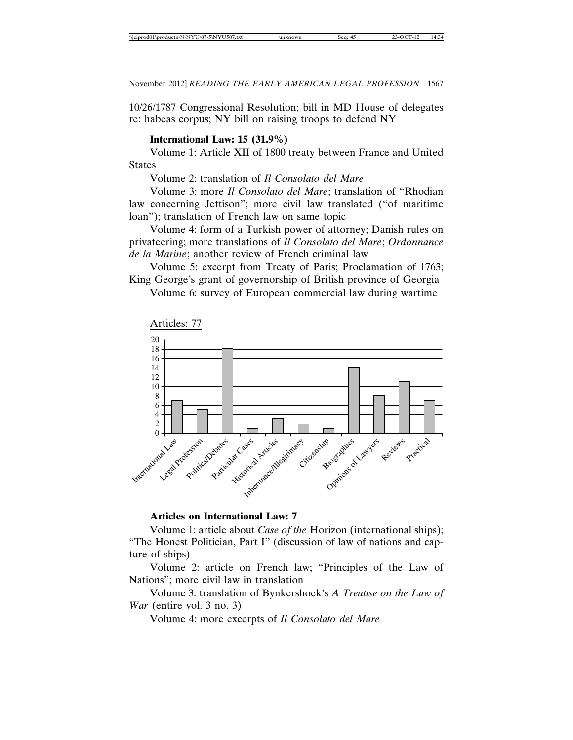10/26/1787 Congressional Resolution; bill in MD House of delegates re: habeas corpus; NY bill on raising troops to defend NY

### **International Law: 15 (31.9%)**

Volume 1: Article XII of 1800 treaty between France and United States

Volume 2: translation of *Il Consolato del Mare*

Volume 3: more *Il Consolato del Mare*; translation of "Rhodian law concerning Jettison"; more civil law translated ("of maritime loan"); translation of French law on same topic

Volume 4: form of a Turkish power of attorney; Danish rules on privateering; more translations of *Il Consolato del Mare*; *Ordonnance de la Marine*; another review of French criminal law

Volume 5: excerpt from Treaty of Paris; Proclamation of 1763; King George's grant of governorship of British province of Georgia

Volume 6: survey of European commercial law during wartime



#### **Articles on International Law: 7**

Volume 1: article about *Case of the* Horizon (international ships); "The Honest Politician, Part I" (discussion of law of nations and capture of ships)

Volume 2: article on French law; "Principles of the Law of Nations"; more civil law in translation

Volume 3: translation of Bynkershoek's *A Treatise on the Law of War* (entire vol. 3 no. 3)

Volume 4: more excerpts of *Il Consolato del Mare*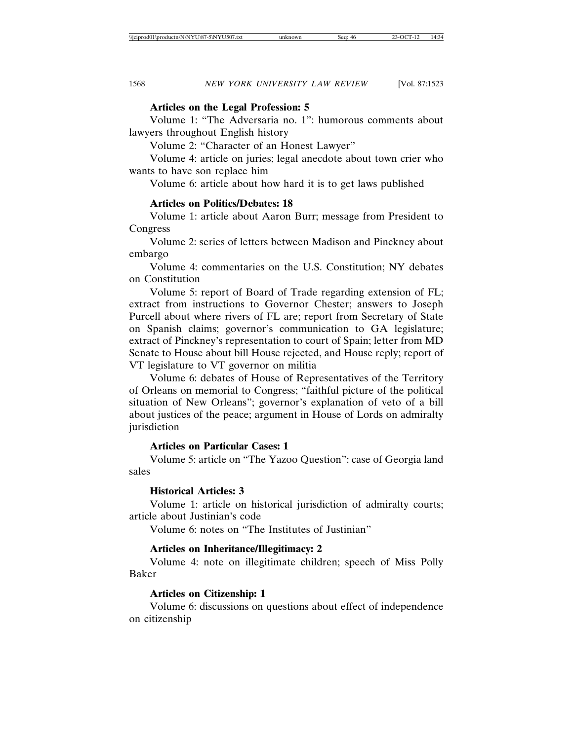### **Articles on the Legal Profession: 5**

Volume 1: "The Adversaria no. 1": humorous comments about lawyers throughout English history

Volume 2: "Character of an Honest Lawyer"

Volume 4: article on juries; legal anecdote about town crier who wants to have son replace him

Volume 6: article about how hard it is to get laws published

### **Articles on Politics/Debates: 18**

Volume 1: article about Aaron Burr; message from President to Congress

Volume 2: series of letters between Madison and Pinckney about embargo

Volume 4: commentaries on the U.S. Constitution; NY debates on Constitution

Volume 5: report of Board of Trade regarding extension of FL; extract from instructions to Governor Chester; answers to Joseph Purcell about where rivers of FL are; report from Secretary of State on Spanish claims; governor's communication to GA legislature; extract of Pinckney's representation to court of Spain; letter from MD Senate to House about bill House rejected, and House reply; report of VT legislature to VT governor on militia

Volume 6: debates of House of Representatives of the Territory of Orleans on memorial to Congress; "faithful picture of the political situation of New Orleans"; governor's explanation of veto of a bill about justices of the peace; argument in House of Lords on admiralty jurisdiction

### **Articles on Particular Cases: 1**

Volume 5: article on "The Yazoo Question": case of Georgia land sales

### **Historical Articles: 3**

Volume 1: article on historical jurisdiction of admiralty courts; article about Justinian's code

Volume 6: notes on "The Institutes of Justinian"

### **Articles on Inheritance/Illegitimacy: 2**

Volume 4: note on illegitimate children; speech of Miss Polly Baker

### **Articles on Citizenship: 1**

Volume 6: discussions on questions about effect of independence on citizenship